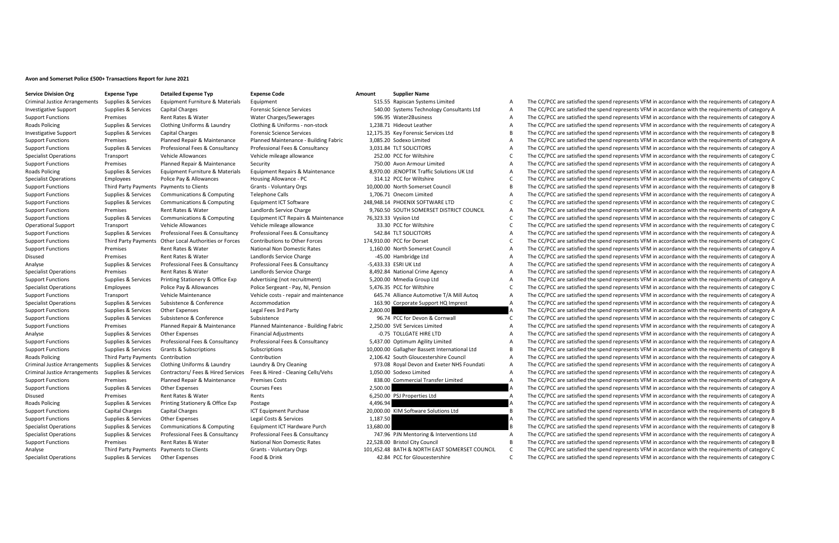## **Avon and Somerset Police £500+ Transactions Report for June 2021**

**Service Division Org Expense Type Detailed Expense Typ Expense Code Amount Supplier Name**

|           | 515.55 Kapiscan Systems Limited               |
|-----------|-----------------------------------------------|
|           | 540.00 Systems Technology Consultants Ltd     |
|           | 596.95 Water2Business                         |
|           | 1.238.71 Hideout Leather                      |
|           | 12,175.35 Key Forensic Services Ltd           |
|           | 3,085.20 Sodexo Limited                       |
|           | 3,031.84 TLT SOLICITORS                       |
|           | 252.00 PCC for Wiltshire                      |
|           | 750.00 Avon Armour Limited                    |
|           | 8.970.00 JENOPTIK Traffic Solutions UK Ltd    |
|           | 314.12 PCC for Wiltshire                      |
|           | 10,000.00 North Somerset Council              |
|           | 1.706.71 Onecom Limited                       |
|           | 248.948.14 PHOENIX SOFTWARE LTD               |
|           | 9,760.50 SOUTH SOMERSET DISTRICT COUNCIL      |
|           | 76.323.33 Vysiion Ltd                         |
|           | 33.30 PCC for Wiltshire                       |
|           | 542.84 TLT SOLICITORS                         |
|           | 174.910.00 PCC for Dorset                     |
|           | 1,160.00 North Somerset Council               |
|           | -45.00 Hambridge Ltd                          |
|           | -5,433.33 ESRI UK Ltd                         |
|           | 8,492.84 National Crime Agency                |
|           | 5,200.00 Mmedia Group Ltd                     |
|           | 5.476.35 PCC for Wiltshire                    |
|           | 645.74 Alliance Automotive T/A Mill Autog     |
|           | 163.90 Corporate Support HQ Imprest           |
| 2,800.00  |                                               |
|           | 96.74 PCC for Devon & Cornwall                |
|           | 2,250.00 SVE Services Limited                 |
|           | -0.75 TOLLGATE HIRE LTD                       |
|           | 5,437.00 Optimum Agility Limited              |
|           | 10,000.00 Gallagher Bassett International Ltd |
|           | 2.106.42 South Gloucestershire Council        |
|           | 973.08 Royal Devon and Exeter NHS Foundati    |
|           | 1,050.00 Sodexo Limited                       |
|           | 838.00 Commercial Transfer Limited            |
| 2.500.00  |                                               |
|           | 6,250.00 PSJ Properties Ltd                   |
| 4,496.94  |                                               |
|           | 20,000.00 KIM Software Solutions Ltd          |
| 1.187.50  |                                               |
| 13,680.00 |                                               |
|           | 747.96 PJN Mentoring & Interventions Ltd      |
|           | 22,528.00 Bristol City Council                |
|           | 101,452.48 BATH & NORTH EAST SOMERSET COUNCIL |

Criminal Justice Arrangements Supplies & Services Equipment Furniture & Materials Equipment Equipment Supplies Asservice Criminal Arrangements of category A The CC/PCC are satisfied the spend represents VFM in accordance w Investigative Support Supplies & Services Capital Charges Forensic Science Services Forensic Science Services Forensic Science Services 540.00 Systems Technology Consultants Ltd A The CC/PCC are satisfied the spend represe Support Functions Premises Water Rates Rent Rates Rent Rates Rent Rates A The CONCER CHARGES ART A The Support The Support Functions A The CC/PCC are satisfied the spend represents VFM in accordance with the requirements o Roads Policing Supplies & Services Clothing Uniforms & Laundry Clothing & Uniforms - non-stock 1,238.71 Hideout Leather A The CC/PCC are satisfied the spend represents VFM in accordance with the requirements of category A The CC/PCC are satisfied the spend represents VFM in accordance with the requirements of category B Support Functions Premises Planned Repair & Maintenance Planned Maintenance - Building Fabric 3,085.20 Sodexo Limited A The CC/PCC are satisfied the spend represents VFM in accordance with the requirements of category A Th The CC/PCC are satisfied the spend represents VFM in accordance with the requirements of category A Specialist Operations Transport Vehicle Allowances Vehicle mileage allowance 252.00 PCC for Wiltshire The CC/PCC are satisfied the spend represents VFM in accordance with the requirements of category A<br>Specialist C The CC/ The CC/PCC are satisfied the spend represents VFM in accordance with the requirements of category A Roads Policing of the Services Equipment Funduce Materials (Support Transformation of the CCPC are astified the Service of the Service of the Service of the Service of the Service of the Service of the Service of the Servi C The CC/PCC are satisfied the spend represents VFM in accordance with the requirements of category C Support Functions Third Party Payments Payments Organts Clients Voluntary Organts - Voluntary Organis - Voluntary Organis - Voluntary Organis - Voluntary Payments of Category B The COUNCE ACCOUNCE A The COUNCE A The COUNCE Supplies & Services Communications & Computing Telephone Calls 1,706.71 Onecom Limited A The CC/PCC are satisfied the spend represents VFM in accordance with the requirements of category A Support Functions Supplies & Services Communications & Computing Caudianet ICT Software 248,948.14 PHOENIX SOFTWARE LTD COMPUTERENT COMPUTERENT COMPUTERENT COMPUTERENT A The COMPUTERENT A The COMPUTERENT COMPUTERENT COMPUT The CC/PCC are satisfied the spend represents VFM in accordance with the requirements of category A Support Functions Supplies & Services Communications & Computing Equipment ICT Repairs Analysics Ltd Category Computing Leagues Area and Computing Computing Computing Computing Computing Computing Computing Computing C The The CC/PCC are satisfied the spend represents VEM in accordance with the requirements of category C Support Englished Survices Professional Fees & Consultancy Professional Feesting and the Survey of the Consumer Survey of the Consumer Survey of the Consumer Survey of the Consumer Survey of the Consumer Survey of the Cons Support Find Party Payments (Payments) (Support and Decision of the Consect of the Consect of the Consect of the Consect of the Consect of the Consect of the Consect of the Consect of the Consect of the Consect of the Cons Support Functions Premises Rent Rates Rates Rent Rates Rent Rates Premises A The CC/PC are satisfied the spend represent Council A The CC/PCC are satisfied the spend represents VFM in accordance with the requirements of ca The CC/PCC are satisfied the spend represents VFM in accordance with the requirements of category A Analyse Supplies & Supplies Supplies Supplies Consultance Consultance Consultance of the Consultance of the CONSULTANCE A The CONSULTANCE A The CONSULTANCE AREAS AND A THE CONSULTANCE AND A THE CONSULTANCE AREAS AND A THE The CC/PCC are satisfied the spend represents VFM in accordance with the requirements of category A Supplies & Services Printing Stationery & Office Exp Advertising (not recruitment) 5,200.00 Mmedia Group Ltd AThe CC/PCC are satisfied the spend represents VFM in accordance with the requirements of category A Specialist Operations Employees Police Pay & Allowances Police Sergeant - Pay, NI, Pension 5,476.35 PCC for Wiltshire C The CC/PCC are satisfied the spend represents VFM in accordance with the requirements of category C Support Fransport (Vehicle Mathenance Press - Vehicle cost - reginal maintenance and maintenance of the capical of the Concernent of Alliang and the Concernent of the Concernent of the Concernent of the Concernent of the C Supplies & Services Subsistence & Conference Accommodation 163.90 Corporate Support HQ Imprest A The CC/PCC are satisfied the spend represents VFM in accordance with the requirements of category A Support Functions Supplies & Services Other Expenses Legal Fees 3rd Party 2,800.00 2,800.00 A The CC/PCC are satisfied the spend represents VFM in accordance with the requirements of category A Support Functions Subsistence Suppliers Supplies Support Functions Support Subsistence Support Devon & Cornwall Corner of The CC/PCC are satisfied the spend represents VFM in accordance with the requirements of category A The CC/PCC are satisfied the spend represents VFM in accordance with the requirements of category A Analyse Supplies Supplies Supplies Supplies Supplies Supplies Category Adjustments of American American American Category A The CC/PCC are satisfied the spend represents VFM in accordance with the requirements of category Supplies & Services Professional Fees & Consultancy Professional Fees & Consultancy Professional Fees & Consultancy Professional Fees & Consultancy 3.437.00 Optimum Agility Limited A The CC/PCC are satisfied the spend repr Support Functions Supplies Grants Grants Subscriptions Subscriptions Subscriptions 10,000.00 Gallagher Bassett International Ltd B The CC/PCC are satisfied the spend represents VFM in accordance with the requirements of ca The CC/PCC are satisfied the spend represents VFM in accordance with the requirements of category A Criminal surface of the property of the control of the control of the control of the control of the control of the control of the control of the control of the control of the control of the control of the control of the co The CC/PCC are satisfied the spend represents VEM in accordance with the requirements of category A Support Functions Premises Planned Repair & Maintenance Premises Costs 838.00 Commercial Transfer Limited A The CC/PCC are satisfied the spend represents VFM in accordance with the requirements of category A The CC/PCC are The CC/PCC are satisfied the spend represents VFM in accordance with the requirements of category A Disused Premises Premises Rent Rates Rents Rents Category Rents Category A The CC/PCC are satisfied the spend represents VFM in accordance with the requirements of category A The CC/PC are satisfied the spend represents VF The CC/PCC are satisfied the spend represents VFM in accordance with the requirements of category A Support Functions Capital Charges Capital Charges Capital Charges Capital Charges 20,000.00 KIM Software Solutions Ltd B The CC/PCC are satisfied the spend represents VFM in accordance with the requirements of category B i The CC/PCC are satisfied the spend represents VFM in accordance with the requirements of category A Specialist Operations Supplies & Services Computications & Computing Equipment ICT Hardware Purch 13,680.00 B December 20, December 20, December 20, December 20, December 20, December 20, December 20, December 20, December The CC/PCC are satisfied the spend represents VEM in accordance with the requirements of category A Support Functions Premises Rent Rates & Water National Non Domestic Rates 22,528.00 Bristol City Council B The CC/PCC are satisfied the spend represents VFM in accordance with the requirements of category B Analyse Third Party Payments Payments to Clients Grants - Voluntary Orgs 101,452.48 BATH & NORTH EAST SOMERSET COUNCIL C The CC/PCC are satisfied the spend represents VFM in accordance with the requirements of category C Specialist Operations Supplies & Services Other Expenses Food & Drink Food & Drink 42.84 PCC for Gloucestershire C The CC/PCC are satisfied the spend represents VFM in accordance with the requirements of category C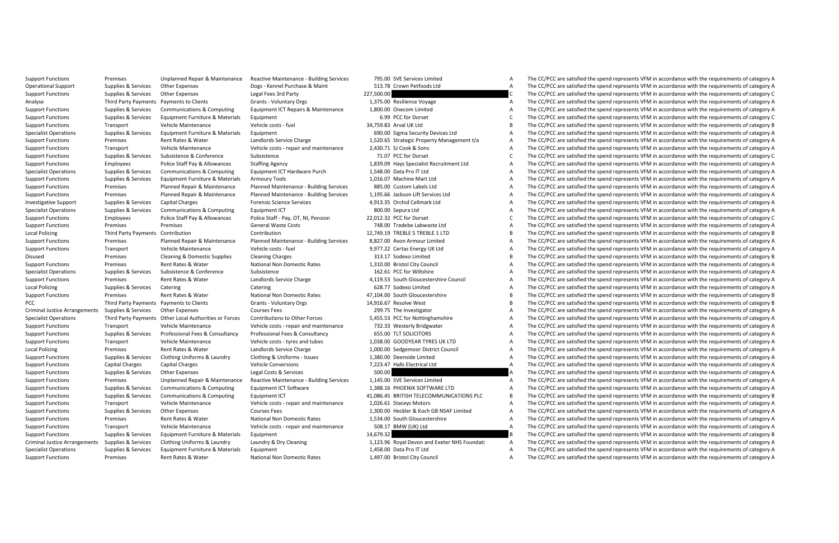Support Functions Premises Unplanned Benair & Maintenance Reactive Maintenance - Building Services 795.00 SVF Services Limited A The CC/PCC are satisfied the spend represents VFM in accordance with the requirements of cate Operational Support Support Support Support Support Support Support Support Support Support Support Support Support Support Support Support Support Support Support Support Support Support Support Support Support Support Su The CC/PCC are satisfied the spend represents VFM in accordance with the requirements of category C Analyse Third Party Payments Payments to Clients Grants - Voluntary Orgs 1,375.00 Resilience Voyage A The CC/PCC are satisfied the spend represents VFM in accordance with the requirements of category A Supplies & Services Communications & Computing Equipment ICT Repairs & Maintenance 1,800.00 Onecom Limited The CC/PCC are satisfied the spend represents VFM in accordance with the requirements of category A Support Functions Supplies & Services Equipment Furniture & Materials Equipment C Equipment 6.99 PCC for Dorset C The CC/PCC are satisfied the spend represents VFM in accordance with the requirements of category C Support Functions Transport Vehicle Costs - the Support Vehicle Costs - the CC/PCC are satisfact UK Ltd B The CC/PCC are satisfied the spend represents VFM in accordance with the requirements of category A<br>Specialist Opera The CC/PCC are satisfied the spend represents VFM in accordance with the requirements of category A Support Functions Premises Rent Rates Rent Rates Rent Rates Rent Rates Rent Rates Rent Rates Property Management to A The CC/PCC are satisfied the spend represents VFM in accordance with the requirements of category A The Support Functions Transport Vehicle Costs - repair and maintenance 2,430.71 Support Vehicle costs are the CC/PCC are satisfied the spend represents VFM in accordance with the requirements of category A Support Functions A Support Functions Support Functions Support Functions Suppliers Support Turket Conference of Conference Support Turket Conference of Conference of Conference of Conference of Conference of Conference of Conference of Confe Staffing Agency **Support Functions Contained A COVID-STAGE AGENCY** A The CC/PCC are satisfied the spend represents VFM in accordance with the requirements of category A Specialist Operations Supplies & Services Communications Supplies Computing Equipment ICT Hardware Purch 1,548.00 Data Pro IT Ltd A The CC/PCC are satisfied the spend represents VFM in accordance with the requirements of c Armoury Tools **Support Functions Supplies Armoury Tools** A The CC/PCC are satisfied the spend represents VFM in accordance with the requirements of category A Support Functions Premises Planned Repair & Maintenance Planned Maintenance - Building Services 885.00 Custom Labels Ltd A The CC/PCC are satisfied the spend represents VFM in accordance with the requirements of category A A The CC/PCC are satisfied the spend represents VEM in accordance with the requirements of category A Investigative Support Support Support Support Support Support Support Support Support Support Support Support Support Support Support Support Support Support Support Support Support Support Support Support Support Support The CC/PCC are satisfied the spend represents VFM in accordance with the requirements of category A Support Functions Employees Police Staff Pay & Allowances Police Staff Pay, OT, NI, Pension 22,012.32 PCC for Dorset Category Category Category Concessing the COCC are satisfied the spend represents VFM in accordance with The CC/PCC are satisfied the spend represents VFM in accordance with the requirements of category A Local Policing Third Party Payments Contribution Contribution 12,749.19 TREBLE 1100 12,949.19 TREBLE 1000 12,949.19 TREBLE 1 LTD B TRECC/PCC are satisfied the spend represents VFM in accordance with the requirements of cat The CC/PCC are satisfied the spend represents VEM in accordance with the requirements of category A Support Functions Transport Vehicle Maintenance Vehicle costs - fuel 9,977.22 Certas Energy UK Ltd A The CC/PCC are satisfied the spend represents VFM in accordance with the requirements of category Represent VFM in accord The CC/PCC are satisfied the spend represents VFM in accordance with the requirements of category B Support Functions Premises Rent Rates Rent Rates Rent Rates Premises Premises Rent Rates A The CC/PCC are satisfied the spend represents VFM in accordance with the requirements of category A The CC/PC are satisfied the spe Specialist Operations Supplies A The CC/PCC are satisfied the spend represents VFM in accordance with the requirements of category A The CC/PCC are satisfied the spend represents VFM in accordance with the requirements of Support Functions Premises Rent Rates & Water Landlords Service Charge 4,119.53 South Gloucestershire Council A The CC/PCC are satisfied the spend represents VFM in accordance with the requirements of category A Local Policing Supplies & Services Catering Catering Catering Catering Catering Catering Catering Catering Catering Catering Catering Catering Catering Category A The CC/PCC are satisfied the spend represents VFM in accord Support Functions Premises Rent Rates & Water National Non Domestic Rates 47,104.00 South Gloucestershire B The CC/PCC are satisfied the spend represents VFM in accordance with the requirements of category B PCC Third Payments December 100 Clients - Voluntary Orgs 14,916.67 Resolve West B The CC/PCC are satisfied the spend represents VFM in accordance with the requirements of category B The COLOGE A The COLOGE ARE COLOGE A The Supplies & Services Other Expenses 2001/08 Fees 299.75 The Investigator 209.75 The Investigator A The CC/PCC are satisfied the spend represents VFM in accordance with the requirements of category A Specialist Specialist (Specialist of the Special Authorities of Decembrishing to the Conservation of the Conservation of the Specialist Conservation of the Specialist Conservation of the Specialist Authorities and the CONS The CC/PCC are satisfied the spend represents VFM in accordance with the requirements of category A Support Experiment of the support of the seasonal services of the consultance of the consultance of the consultance of the season of the consultance of the season of the season of the season of the consultance of the seaso Support Functions Transport Vehicle Maintenance Vehicle costs - tyres and tubes 1,038.00 GOODYEAR TYRES UK LTD A The CC/PCC are satisfied the spend represents VFM in accordance with the requirements of category A Local Policing Premises Rent Rates Water Landlords Service Charge 1,000.00 Sedgemoor District Council Council A<br>1,1000 A The CC/PCC are satisfied the spend represents VFM in accordance with the requirements of category A T Support Functions Uniforms Supplies A The CC/PCC are satisfied the spend represents VFM in accordance with the requirements of category A The CC/PCC are satisfied the spend represents VFM in accordance with the requirement Support Functions Capital Charges Capital Charges Capital Charges Capital Charges Capital Charges Capital Charges Capital Ltd A The CC/PCC are satisfied the spend represents VFM in accordance with the requirements of categ The CC/PCC are satisfied the spend represents VFM in accordance with the requirements of category A Support Functions of the main of the main of the main of the control of the control of the controller and the controller and the controller and the controller and the controller and the controller and the controller and th The CC/PCC are satisfied the spend represents VEM in accordance with the requirements of category A Support Functions Supplies & Services Communications & Computing Cautions Computing Category and the computing Computing Category BRITISH TELECOMMUNICATIONS PLC BE THE COPCC are satisfied the spend represents VFM in accord A The CC/PCC are satisfied the spend represents VEM in accordance with the requirements of category A Support Functions Supplies Services Support Courses Fees 1,300.000 Heckler & Configurations Courses Fees 1,500<br>Support Functions Premises Represents A The COVID-EXPERIENT A The COVID-EXPERIENCE AREA THE CONFIDENT A THE CON S34.00 South Gloucestershire A The CC/PCC are satisfied the spend represents VFM in accordance with the requirements of category A The CC/PCC are satisfied the spend represents VFM in accordance with the requirements of ca Support Functions Transport Vehicle Maintenance Vehicle costs - repair and maintenance and maintenance and maintenance and the CC/PCC are satisfied the spend represents VFM in accordance with the requirements of category A The CC/PCC are satisfied the spend represents VFM in accordance with the requirements of category B Criminal Justice Arrangements Supplies & Services Clothing Uniforms & Laundry Laundry & Dry Cleaning 1,123.96 Royal Devon and Exeter NHS Foundati A The CC/PCC are satisfied the spend represents VFM in accordance with the requirements of category A Specialist Operations Supplies & Services Equipment Furniture & Materials Equipment 1,458.00 Data Pro IT Ltd A The CC/PCC are satisfied the spend represents VFM in accordance with the requirements of category A Support Functions Premises Rent Rates & Water National Non Domestic Rates 1,497.00 Bristol City Council A The CC/PCC are satisfied the spend represents VFM in accordance with the requirements of category A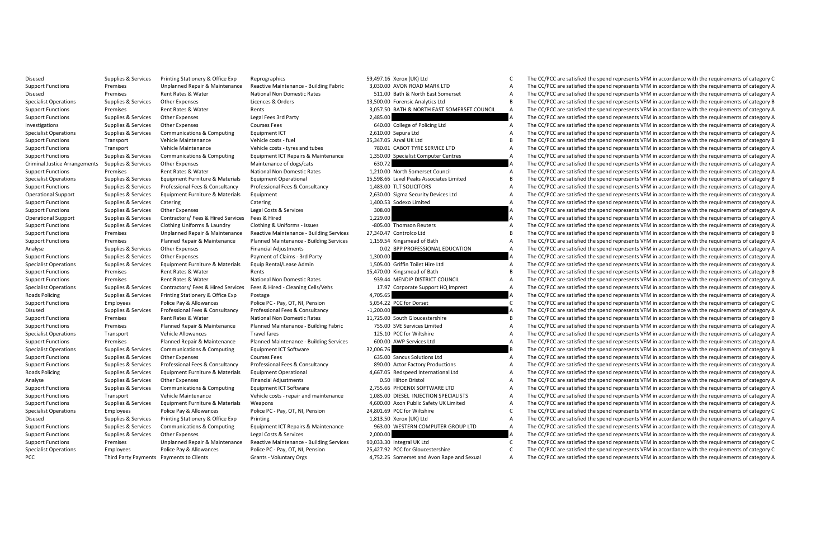|             | 59,497.16 Xerox (UK) Ltd                    |   |
|-------------|---------------------------------------------|---|
|             | 3,030.00 AVON ROAD MARK LTD                 |   |
|             | 511.00 Bath & North East Somerset           |   |
|             | 13,500.00 Forensic Analytics Ltd            |   |
|             | 3,057.50 BATH & NORTH EAST SOMERSET COUNCIL |   |
| 2.485.00    |                                             |   |
|             | 640.00 College of Policing Ltd              |   |
|             | 2,610.00 Sepura Ltd                         |   |
|             | 35,347.05 Arval UK Ltd                      |   |
|             | 780.01 CABOT TYRE SERVICE LTD               |   |
|             | 1,350.00 Specialist Computer Centres        |   |
| 630.72      |                                             |   |
|             | 1.210.00 North Somerset Council             |   |
|             | 15.598.66 Level Peaks Associates Limited    |   |
|             | 1,483.00 TLT SOLICITORS                     |   |
|             | 2,630.00 Sigma Security Devices Ltd         |   |
|             | 1,400.53 Sodexo Limited                     |   |
| 308.00      |                                             |   |
| 1.229.00    |                                             |   |
|             | -805.00 Thomson Reuters                     |   |
|             | 27.340.47 Controlco Ltd                     |   |
|             | 1,159.54 Kingsmead of Bath                  |   |
|             | 0.02 BPP PROFESSIONAL EDUCATION             |   |
| 1,300.00    |                                             |   |
|             | 1,505.00 Griffin Toilet Hire Ltd            |   |
|             | 15,470.00 Kingsmead of Bath                 |   |
|             | 939.44 MENDIP DISTRICT COUNCIL              |   |
|             | 17.97 Corporate Support HQ Imprest          |   |
| 4.705.65    |                                             |   |
|             | 5,054.22 PCC for Dorset                     |   |
| $-1,200.00$ |                                             |   |
|             | 11,725.00 South Gloucestershire             | ı |
|             | 755.00 SVE Services Limited                 |   |
|             | 125.10 PCC for Wiltshire                    |   |
|             | 600.00 AWP Services Ltd                     |   |
| 32,006.76   |                                             |   |
|             | 635.00 Sancus Solutions Ltd                 |   |
|             | 890.00 Actor Factory Productions            |   |
|             | 4,667.05 Redspeed International Ltd         |   |
|             | 0.50 Hilton Bristol                         |   |
|             | 2.755.66 PHOENIX SOFTWARE LTD               |   |
|             | 1.085.00 DIESEL INJECTION SPECIALISTS       |   |
|             | 4,600.00 Axon Public Safety UK Limited      |   |
|             | 24,801.69 PCC for Wiltshire                 |   |
|             | 1,813.50 Xerox (UK) Ltd                     |   |
|             | 963.00 WESTERN COMPUTER GROUP LTD           |   |
| 2,000.00    |                                             |   |
|             | 90.033.30 Integral UK Ltd                   |   |
|             | 25.427.92 PCC for Gloucestershire           |   |
|             | 4,752.25 Somerset and Avon Rape and Sexual  |   |

Disused Supplies Services Printing Stationery & Office Exp Reprographics S9,497.16 Xerox (UK) Ltd C The CC/PCC are satisfied the spend represents VFM in accordance with the requirements of category C Support Europe Unidiat Support Funding The Unplaned Repair & Maintenance Realing Repair Maintenance Realing Fabric 100 and Apport and The Concernent Content Concernent Capacity American Support Funding Premises and The Concernent Capacity Americ The CC/PCC are satisfied the spend represents VFM in accordance with the requirements of category A Specialist Operations Supplies & Services Other Expenses Licences & Orders 13,500.00 Forensic Analytics Ltd B The CC/PCC are satisfied the spend represents VFM in accordance with the requirements of category B Support Functions Premises Rent Rates & Water Rents Rents Rents Rents America Rents 3,057.50 BATH & NORTH EAST SOMERSET COUNCIL A The CC/PCC are satisfied the spend represents VFM in accordance with the requirements of cat Support Functions Supplies & Services Other Expenses Legal Fees 3rd Party 2,485.00 2,485.00 A The CC/PCC are satisfied the spend represents VFM in accordance with the requirements of category A Investigations Supplies Services Other Expenses Courses Fees 640.00 Courses Courses Courses Courses Fees 640.00 College of Policing Ltd A The CC/PCC are satisfied the spend represents VFM in accordance with the requirement The CC/PCC are satisfied the spend represents VFM in accordance with the requirements of category A Support Functions Transport Vehicle Maintenance vehicle costs - ture and the Style and Data The CC/PCC are satisfied the spend represents VFM in accordance with the requirements of category B The CC/PCC are attentions and Support Functions Transport Vehicle Costs - tyres and tubes - tyres and tubes - tyres and tubes and tubes and tubes and tubes and the CC/PCC are satisfied the spend represents VFM in accordance with the requirements of cat Support supplies Survices Communications & Computing Maintenance and the computer of the COCC are astified the spand presents VFM in accordance with the requirements of the Support Fights (1989) A The COCC are satisfied th The CC/PCC are satisfied the spend represents VFM in accordance with the requirements of category A Support Functions Premises Premises Rent Rates Rent Rates Rent Rates Premises Rent Rates American Council A The CC/PCC are satisfied the spend represents VFM in accordance with the requirements of category A The CC/PCC are The CC/PCC are satisfied the spend represents VFM in accordance with the requirements of category B Support Equipments (Support and Designation of the Support of the Support of the Consultancy of the Consultancy<br>Cheralional Support Support Support Support Support Support Support Support Support Support Support Support Su Operational Support Supplies & Services Equipment Euroliture & Materials Equipment 2,630.00 Sigma Security Devices Ltd A The CC/PCC are satisfied the spend represents VFM in accordance with the requirements of category A Support Functions Supplies Services Catering Catering Catering 1,400.53 Sodexo Limited A The CC/PCC are satisfied the spend represents VFM in accordance with the requirements of category A The CC/PCC are satisfied the spen Supplies Services Other Expenses Descriptions Support Functions Supplies Other Expenses Controllers A The CC/PCC are satisfied the spend represents VFM in accordance with the requirements of category A The CC/PC are satisf Operational Support Support Support Support Support Support Support Support Support Support Support Support Support Support Support Support Support Support Support Support Support Support Support Support Support Support Su The CC/PCC are satisfied the spend represents VFM in accordance with the requirements of category A Support Functions Premises Unplanned Repair & Maintenance Reactive Maintenance - Building Services 27,340.47 Controlco Ltd B The CC/PCC are satisfied the spend represents VFM in accordance with the requirements of category The CC/PCC are satisfied the spend represents VFM in accordance with the requirements of category A Analyse Supplies Services Other Expenses Category Supplies Category Contract Adjustments October 2012 BP PROFESSIONAL EDUCATION A The CC/PCC are satisfied the spend represents VFM in accordance with the requirements of cat The CC/PCC are satisfied the spend represents VFM in accordance with the requirements of category A -<br>Specialst Dopensies Services Equipment Furniture & Materials Equip Rental/Lease Admin 15,05,00 Griff Told: History of the CC/PCC are satisfied the speed personent SPM in accordance with the requirements of category Rent The CC/PCC are satisfied the spend represents VFM in accordance with the requirements of category B Support Functions Premises Rent Rates & Water National Non Domestic Rates 939.44 MENDIP DISTRICT COUNCIL A The CC/PCC are satisfied the spend represents VFM in accordance with the requirements of category A Supplies & Services Contractors/ Fees & Hired Services Fees & Hired - Cleaning Cells/Vehs 17.97 Corporate Support HQ Imprest A The CC/PCC are satisfied the spend represents VFM in accordance with the requirements of catego Roads Policing Supplies & Services Printing Stationery & Office Exp Postage Principal Principal A The CC/PCC are satisfied the spend represents VFM in accordance with the requirements of category A Support Functions Punctions Pay allowances Police Pay OT, NI, Pension 5,054.22 PC for Dorset Category Contents of Category Contents of Category Contents of Category Contents of Category Contents of Category A The CC/PCC ar Professional Fees & Consultancy -1,200.00 4 -1,200.00 - The CC/PCC are satisfied the spend represents VFM in accordance with the requirements of category A Support Functions Premises Rent Rates Water Premises Rent Rates Premises Premises Rent Rates 11,725.00 South Gloucestershire B The CC/PCC are satisfied the spend represents VFM in accordance with the requirements of catego The CC/PCC are satisfied the spend represents VFM in accordance with the requirements of category A Specialist Operations Transport Vehicle Allowances Travel fares Transport Category A The CC/PCC are satisfied the spend represents VFM in accordance with the requirements of category A The CC/PCC for Wiltshire and represen Support Functions Premises Planned Repair & Maintenance Planned Maintenance - Building Services 600.00 AWP Services Ltd A The CC/PCC are satisfied the spend represents VFM in accordance with the requirements of category A Specialist Operations Supplies Species Communications Supplications Supplications Category Equipment ICT Software 32,006.76 B The CC/PCC are satisfied the spend represents VFM in accordance with the requirements of categor The CC/PCC are satisfied the spend represents VFM in accordance with the requirements of category A Support Engine and Support of the Consulter of the Consultance of the Consultance of the Consultance of the Consultance of the Consultance of the Consultance of the Consultance of the Consultance of the Consultance of the The CC/PCC are satisfied the spend represents VEM in accordance with the requirements of category A Analyse Supplies Services Other Expenses Financial Adjustments Other Expenses Financial Adjustments of A The CC/PCC are satisfied the spend represents VFM in accordance with the requirements of category A The CC/PCC are sa The CC/PCC are satisfied the spend represents VEM in accordance with the requirements of category A Support Transport vehicle Matternance and the enterprese of the control of the control of the control of the control of the control of the control of the control of the control of the control of the control of the control Support Functions Support Functions A Supplies A The CC/PCC are satisfied the spend represents VFM in accordance with the requirements of category A Specialist Operations Employees Police Pay & Allowances Police PC-Pay, OT, NI, Pension 24,801.69 PCC for Wiltshire Computer Computer Police Pay, OT, NI, Pension 24,801.69 PCC for Within 24,801.69 PCC for Pay, OT, NI, Pensi The CC/PCC are satisfied the spend represents VFM in accordance with the requirements of category A Support Equipment of the Support of the Support of the Support of the Support of the Condensity of the Condensity of the Condensity of the Condensity of the Condensity of the Condensity of the Condensity of the Condensity The CC/PCC are satisfied the spend represents VFM in accordance with the requirements of category A Support Functions Premises Unplanned Repair & Maintenance Reactive Maintenance - Buildine Services 90.033.30 Integral UK Ltd C The CC/PCC are satisfied the spend represents VFM in accordance with the requirements of catego Specialist Operations Employees Police Pay & Allowances Police PC - Pay, OT, NI, Pension 25,427.92 PCC for Gloucestershire C The CC/PCC are satisfied the spend represents VFM in accordance with the requirements of category PCC Third Party Payments Payments to Clients Grants - Voluntary Orgs 4,752.25 Somerset and Avon Rape and Sexual A The CC/PCC are satisfied the spend represents VFM in accordance with the requirements of category A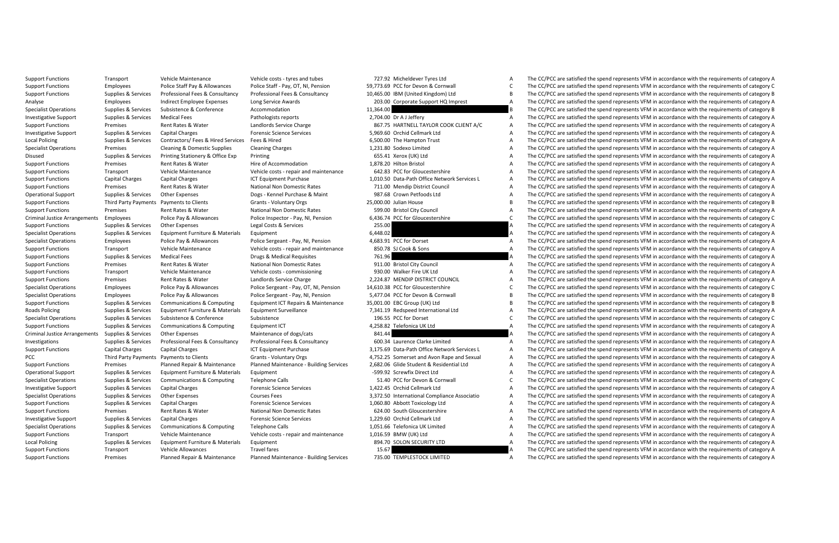|           | 727.92 Micheldever Tyres Ltd                 | A      |
|-----------|----------------------------------------------|--------|
|           | 59,773.69 PCC for Devon & Cornwall           | Ċ      |
|           | 10,465.00 IBM (United Kingdom) Ltd           | B      |
|           | 203.00 Corporate Support HQ Imprest          | A      |
| 11.364.00 |                                              | B      |
|           | 2.704.00 Dr AJ Jefferv                       | A      |
|           | 867.75 HARTNELL TAYLOR COOK CLIENT A/C       | A      |
|           | 5,969.60 Orchid Cellmark Ltd                 | A      |
|           | 6,500.00 The Hampton Trust                   | A      |
|           | 1.231.80 Sodexo Limited                      | A      |
|           | 655.41 Xerox (UK) Ltd                        | A      |
|           | 1,878.20 Hilton Bristol                      | A      |
|           | 642.83 PCC for Gloucestershire               | A      |
|           | 1,010.50 Data-Path Office Network Services L | A      |
|           | 711.00 Mendip District Council               | A      |
|           | 987.68 Crown Petfoods Ltd                    | A      |
|           | 25.000.00 Julian House                       | B      |
|           | 599.00 Bristol City Council                  | A      |
|           | 6,436.74 PCC for Gloucestershire             | Ċ      |
| 255.00    |                                              | A      |
| 6.448.02  |                                              | A      |
|           | 4,683.91 PCC for Dorset                      | A      |
|           | 850.78 SJ Cook & Sons                        | A      |
| 761.96    |                                              | A      |
|           | 911.00 Bristol City Council                  | A      |
|           | 930.00 Walker Fire UK Ltd                    | A      |
|           | 2,224.87 MENDIP DISTRICT COUNCIL             | A      |
|           | 14,610.38 PCC for Gloucestershire            | Ċ      |
|           | 5.477.04 PCC for Devon & Cornwall            | B      |
|           | 35,001.00 EBC Group (UK) Ltd                 | B      |
|           | 7,341.19 Redspeed International Ltd          | A      |
|           | 196.55 PCC for Dorset                        | Ċ      |
|           | 4.258.82 Telefonica UK Ltd                   | A      |
| 841.44    |                                              | A      |
|           | 600.34 Laurence Clarke Limited               | A      |
|           | 3,175.69 Data-Path Office Network Services L | A      |
|           | 4,752.25 Somerset and Avon Rape and Sexual   | A      |
|           | 2.682.06 Glide Student & Residential Ltd     | A      |
|           |                                              |        |
|           | -599.92 Screwfix Direct Ltd                  | A      |
|           | 51.40 PCC for Devon & Cornwall               | Ċ      |
|           | 1.422.45 Orchid Cellmark Ltd                 | A      |
|           | 3,372.50 International Compliance Associatio | A      |
|           | 1.060.80 Abbott Toxicology Ltd               | A      |
|           | 624.00 South Gloucestershire                 | A      |
|           | 1.229.60 Orchid Cellmark Ltd                 | A      |
|           | 1,051.66 Telefonica UK Limited               | A      |
|           | 1,016.59 BMW (UK) Ltd                        | A      |
|           | 894.70 SOLON SECURITY LTD                    | A      |
| 15.67     | 735.00 TEMPLESTOCK LIMITED                   | A<br>Α |

Support Functions Transport Vehicle Maintenance Vehicle costs - tyres and tubes 727.92 Micheldever Tyres Ltd A The CC/PCC are satisfied the spend represents VFM in accordance with the requirements of category A Support Employees Police Balf Propose Police Support Provide Category Control of Alberta Category of the Category of The Category of The Category of the Category of the Category of the Category of the Category of the Categ The CC/PCC are satisfied the spend represents VEM in accordance with the requirements of category B Analyse Employees Indirect Employee Expenses Long Service Awards 203.00 Corporate Support HQ Imprest A The CC/PCC are satisfied the spend represents VFM in accordance with the requirements of category A Specialist Operations Supplies & Services Subsistence & Conference Accommodation Accommodation 11,364.00 B The CC/PCC are satisfied the spend represents VFM in accordance with the requirements of category B Investigative Support Supplies & Services Medical Fees Pathologists reports Pathologists reports 2,704.00 Dr A J Leffery A The CC/PCC are satisfied the spend represents VFM in accordance with the requirements of category A Support Functions Premises Water Support Charge Rent Rates Category Charge 867.75 HARTNELL TAYLOR COOK CLIENT AND THE COOK CHARGE ARTNELL TAYLOR COOK CHARGE AND THE COOK CHARGE AND THE COOK CHARGE AND THE COOK CHARGE ASSA The CC/PCC are satisfied the spend represents VFM in accordance with the requirements of category A Local Policing Supplies Supplies Supplies Supplies Supplies Contractors/ Fees A The CC/PCC are according to the Supplies Supplies A The CC/PCC are satisfied the spend represents VFM in accordance with the requirements of c Premises Cleaning & Domestic Operations Category A Teaming Cleaning Cleaning Charges Cleaning Charges 1,231.80 Sodexo Limited A The CC/PCC are satisfied the spend represents VFM in accordance with the requirements of categ Disused Supplies Burding Supplies (Supplies Supplies Stationery A The CC/PCC are satisfied the Supplies A The CC/PCC are satisfied the spend represents VFM in accordance with the requirements of category A The CC/PCC are s The CC/PCC are satisfied the spend represents VFM in accordance with the requirements of category A Support Functions Transport Vehicle Costs repair and maintenance and maintenance of Category and maintenance the CC/PCC are satisfied the CC/PCC are satisfied the spend represents VFM in accordance with the requirements of Capital Charges Capital Charges 1,010 TE Equipment Purchase 1,010.50 Data-Path Office Network Services L A The CC/PCC are satisfied the spend represents VFM in accordance with the requirements of category A Support Functions Premises Rent Rates Rent Rates Rent Rates Rent Rates Premises Rent Rates Rent Rates Premises<br>Considerations Premises A The Council A The COUNCE A The COUNCE A The COUNCE A The COUNCE A The COUNCE ASSESS A Operational Support Supplies & Services Other Expenses Dogs - Kennel Purchase & Maint 987.68 Crown Petfoods Ltd A The CC/PCC are satisfied the spend represents VFM in accordance with the requirements of category A Support Functions Third Party Payments Clients - Clients-Voluntary Orgs 25,000.00 Julian House B The CC/PCC are satisfied the spend represents VFM in accordance with the requirements of category B The CC/PC are satisfied t National Non Domestic Rates 599.00 Bristol City Council A The CC/PCC are satisfied the spend represents VFM in accordance with the requirements of category A PCC for Gloucestershire CATH CC/PCC are satisfied the spend repr C (or Gluess and the end of the end of the end of the end of the end of the end of the end of the end of the end of the end of the end of the end of the end of the end of the end of the end of the end of the end of the end The CC/PCC are satisfied the spend represents VFM in accordance with the requirements of category A Specialist Operations Specialist Operations Specialist Operations Supplications and the Services Equipment Furniture & Material of the CC/PC are satisfied the spend represents VFM in accordance with the requirements of cat Police Pay Allowances Police Sergeant - Pay M, Pension 4,683.91 PCC for Dorset A The CC/PCC are satisfied the spend represents VFM in accordance with the requirements of category A The CC/PC are satisfied the spend represe Support Functions Transport Vehicle costs repair and maintenance 850.78 SLOOK & Sons A The CC/PCC are satisfied the spend represents VFM in accordance with the requirements of category A The CC/PC are satisfied the spend r The CC/PCC are satisfied the spend represents VFM in accordance with the requirements of category A Support Functions Premises Rent Rates Rent Rates Rent Rates Premiers Premiers Premiers Premiers Premiers Premiers Premiers Premiers Premiers Premiers Premiers Premiers Premiers Premiers Premiers Premiers Premiers Premiers The CC/PCC are satisfied the spend represents VEM in accordance with the requirements of category A Support Functions Premises Rent Rates & Water Landlords Service Charge 2,224.87 MENDIP DISTRICT COUNCIL A The CC/PCC are satisfied the spend represents VFM in accordance with the requirements of category A Specialist Operations Employees Police Pay & Allowances Police Sergeant - Pay, OT, NI, Pension 14,610.38 PCC for Gloucestershire C The CC/PCC are satisfied the spend represents VFM in accordance with the requirements of ca Specialist Operations Employees Police Pay & Allowances Police Seregant - Pay, NI. Pension 5.477.04 PCC for Devon & Cornwall Burkey The CC/PCC are satisfied the spend represents VFM in accordance with the requirements of c Support Functions Supplies & Services Communications & Computing Equipment ICT Repairs & Maintenance 35,001.00 EBC Group (UK) Ltd BC/PCC are satisfied the spend represents VFM in accordance with the requirements of categor Supplies & Services Equipment Furniture & Materials Equipment Surveillance 7.341.19 Redspeed International Ltd AThe CC/PCC are satisfied the spend represents VFM in accordance with the requirements of category A Specialist Operations Subsistence Sconference Subsistence Subsistence Subsistence (Subsistence 196.55 PCC for Dorset Conference of The CC/PCC are satisfied the spend represents VFM in accordance with the requirements of ca The CC/PCC are satisfied the spend represents VFM in accordance with the requirements of category A Criminal Justice Arrangements Supplies Arrangements Other Expenses Maintenance of dogs/cats and a the CC/PCC are satisfied the spend represents VFM in accordance with the requirements of category A The CC/PCC are satisfied Supplies & Services Professional Fees & Consultancy Professional Fees & Consultancy Professional Fees & Consultancy Professional Fees & Consultancy (Supplied Material A The CC/PCC are satisfied the spend represents VFM in Support Functions Capital Charges Capital Charges Capital Charges Capital Charges 2,175.69 Data-Path Office Network Services L A The CC/PCC are satisfied the spend represents VFM in accordance with the requirements of cate The CC/PCC are satisfied the spend represents VFM in accordance with the requirements of category A Support Functions of the main of the main of the main of the main of the control of the control of the control of the control of the control of the control of the control of the control of the control of the control of the The CC/PCC are satisfied the spend represents VEM in accordance with the requirements of category A Specialist Operations Supplies & Services Communications Supplies Computing Telephone Calls 51.40 PCC for Devon & Cornwall C The CC/PCC are satisfied the spend represents VFM in accordance with the requirements of category The CC/PCC are satisfied the spend represents VFM in accordance with the requirements of category A Specialist Operations Supplies Services Other Expenses Courses Fees 3,272.50 International Compliance Associatio A The CC/PCC are satisfied the spend represents VFM in accordance with the requirements of category A The CC/ The CC/PCC are satisfied the spend represents VFM in accordance with the requirements of category A Support Functions Premises Rent Rates Water National Non Domestic Rates the Support Connections (Support Function Domestic Rates A The CC/PCC are satisfied the spend represents VFM in accordance with the requirements of ca The CC/PCC are satisfied the spend represents VEM in accordance with the requirements of category A Specialist Operations Supplies & Services Category And the Computing Telephone Calls 1,051.66 Telefonical UK Limited A The CC/PCC are satisfied the spend represents VFM in accordance with the requirements of category A The The CC/PCC are satisfied the spend represents VFM in accordance with the requirements of category A Local Policing Supplies & Services Equipment Furniture & Materials Equipment 894.70 SOLON SECURITY LTD A The CC/PCC are satisfied the spend represents VFM in accordance with the requirements of category A Support Functions Transport Vehicle Allowances Travel fares Travel fares 15.67 A The CC/PCC are satisfied the spend represents VFM in accordance with the requirements of category A Support Functions Premises Planned Repair & Maintenance Planned Maintenance - Building Services 735.00 TEMPLESTOCK LIMITED A The CC/PCC are satisfied the spend represents VFM in accordance with the requirements of category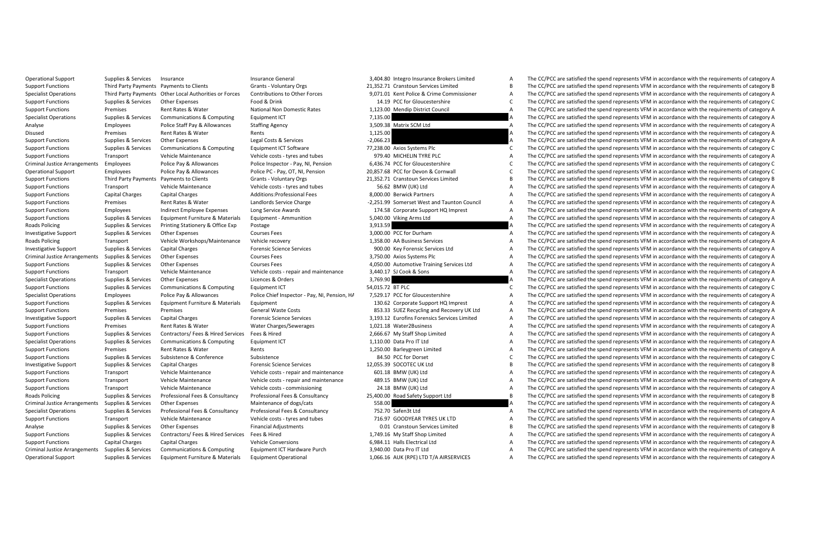|                  | System.com integrations and chokers entities                       | n                   |
|------------------|--------------------------------------------------------------------|---------------------|
|                  | 21,352.71 Cranstoun Services Limited                               | B                   |
|                  | 9.071.01 Kent Police & Crime Commissioner                          | A                   |
|                  | 14.19 PCC for Gloucestershire                                      | Ċ                   |
|                  | 1,123.00 Mendip District Council                                   | A                   |
| 7,135.00         |                                                                    | A                   |
|                  | 3.509.38 Matrix SCM Ltd                                            | A                   |
| 1.125.00         |                                                                    | A                   |
| $-2,066.23$      |                                                                    | A                   |
|                  | 77.238.00 Axios Systems Plc                                        | c                   |
|                  | 979.40 MICHELIN TYRE PLC                                           | A                   |
|                  | 6.436.74 PCC for Gloucestershire                                   | c                   |
|                  | 20,857.68 PCC for Devon & Cornwall                                 | c                   |
|                  | 21.352.71 Cranstoun Services Limited                               | R                   |
|                  | 56.62 BMW (UK) Ltd                                                 | А                   |
|                  | 8.000.00 Berwick Partners                                          | A                   |
|                  | -2,251.99 Somerset West and Taunton Council                        | A                   |
|                  | 174.58 Corporate Support HQ Imprest                                | A                   |
|                  | 5,040.00 Viking Arms Ltd                                           | A                   |
|                  | 3.913.59                                                           | А                   |
|                  | 3,000.00 PCC for Durham                                            | A                   |
|                  | 1.358.00 AA Business Services                                      | A                   |
|                  | 900.00 Key Forensic Services Ltd                                   | A                   |
|                  | 3,750.00 Axios Systems Plc                                         | A                   |
|                  | 4,050.00 Automotive Training Services Ltd                          | A                   |
|                  |                                                                    |                     |
|                  | 3,440.17 SJ Cook & Sons                                            | A                   |
| 3.769.90         |                                                                    | A                   |
| 54.015.72 BT PLC |                                                                    | c                   |
|                  | 7,529.17 PCC for Gloucestershire                                   | А                   |
|                  | 130.62 Corporate Support HQ Imprest                                | А                   |
|                  | 853.33 SUEZ Recycling and Recovery UK Ltd                          | A                   |
|                  | 3.193.12 Eurofins Forensics Services Limited                       | А                   |
|                  | 1,021.18 Water2Business                                            | A                   |
|                  | 2,666.67 My Staff Shop Limited                                     | A                   |
|                  | 1,110.00 Data Pro IT Ltd                                           | A                   |
|                  | 1,250.00 Barleygreen Limited                                       | A                   |
|                  | 84.50 PCC for Dorset                                               | c                   |
|                  | 12.055.39 SOCOTEC UK Ltd                                           | R                   |
|                  | 601.18 BMW (UK) Ltd                                                | A                   |
|                  | 489.15 BMW (UK) Ltd                                                | A                   |
|                  | 24.18 BMW (UK) Ltd                                                 | A                   |
|                  | 25,400.00 Road Safety Support Ltd                                  | R                   |
| 558.00           |                                                                    | A                   |
|                  | 752.70 Safen3t Ltd                                                 | А                   |
|                  | 716.97 GOODYEAR TYRES UK LTD                                       | А                   |
|                  | 0.01 Cranstoun Services Limited                                    | R                   |
|                  | 1,749.16 My Staff Shop Limited                                     | A                   |
|                  | 6,984.11 Halls Electrical Ltd                                      | A                   |
|                  | 3.940.00 Data Pro IT Ltd<br>1 0CC 1C AUV (DDE) ITD T/A AIDCEDVICEC | A<br>$\overline{a}$ |

Operational Support Supplies & Services Insurance Ceneral 3,404.80 Integro Insurance Brokers Limited A The CC/PCC are satisfied the spend represents VFM in accordance with the requirements of category A Support Functions Third Payments Payments Olients Clients Control Clients - Voluntary Orgs 21,52.71 Cranstoun Service Limited The CC/PCC are satisfied the spend represents VFM in accordance with the requirements of categor The CC/PCC are satisfied the spend represents VEM in accordance with the requirements of category A Support Functions Supplies & Services Other Expenses Food & Drink 14.19 PCC for Gloucestershire C The CC/PCC are satisfied the spend represents VFM in accordance with the requirements of category C Support Functions Premises Rent Rates & Water National Non Domestic Rates 1,123.00 Mendip District Council A The CC/PCC are satisfied the spend represents VFM in accordance with the requirements of category A Specialist Operations Supplies & Services Communications & Computing Equipment ICT 7,135.00 A The CC/PCC are satisfied the spend represents VFM in accordance with the requirements of category A Analyse Police Staff Pay & Allowances Police Staffing Agency 3,509.38 Matrix SCM Ltd A The CC/PCC are satisfied the spend represents VFM in accordance with the requirements of category A The CC/PCC are satisfied the spend The CC/PCC are satisfied the spend represents VFM in accordance with the requirements of category A Support Functions Supplies Support Functions Support Functions Support Functions Category -2,066.23 A The CC/PCC are satisfied the spend represents VFM in accordance with the requirements of category Costs A The CC/PCC are The CC/PCC are satisfied the spend represents VFM in accordance with the requirements of category C Support Functions Transport Vehicle Maintenance Vehicle costs - tyres and tubes - tyres and tubes 10 MICHELIN TO THE OFT A THE CC/PCC are satisfied the spend represents VFM in accordance with the requirements of category C Employees Police Pay & Allowances Police Inspector - Pay, NI. Pension 6.436.74 PCC for Gloucestershire C. The CC/PCC are satisfied the spend represents VFM in accordance with the requirements of category C Operational Support Employees Police Pay Allowances Pay, OT, NI, Pension 20,857.68 PCC for Devon & Cornwall Cornerwall Category C The CC/PCC are satisfied the spend represents VFM in accordance with the requirements of cat Support Functions Third Party Payments Payments to Clients Grants - Voluntary Orgs 21,352.71 Cranstoun Services Limited B The CC/PCC are satisfied the spend represents VFM in accordance with the requirements of category B Support Transport Vehicle Maintenance Vehicle Costs - tyres and tubes - tyres and tubes - the CC/PCC are satisfied the spend represents VFM in accordance with the requirements of category A The CC/PC are substant the condi Support Functions Capital Charges Capital Charges Additions:Professional Fees 8,000.00 Berwick Partners A The CC/PCC are satisfied the spend represents VFM in accordance with the requirements of category A Support Functions Premises Rent Rates Rates Rent Rates Rates Premises Premises Premises A The COUNCIL A The COUNCIL A The COUNCIL A The COUNCIL A The COUNCIL A The COUNCIL A The COUNCIL A The COUNCIL A The COUNCIL A The CO The CC/PCC are satisfied the spend represents VEM in accordance with the requirements of category A Support Functions Supplies Equipment Furniture & Materials Equipment - Ammunition 5,040.00 Viking Arms Ltd A The CC/PCC are satisfied the spend represents VFM in accordance with the requirements of category A The CC/PC are Postage 3,913.59 3,913.59 A The CC/PCC are satisfied the spend represents VFM in accordance with the requirements of category A Investigative Supplies & Supplies Courses Category A Courses Fees 3,000.000 PCC for Durham A The CC/PCC are satisfied the spend represents VFM in accordance with the requirements of category A The CC/PCC are satisfied the The CC/PCC are satisfied the spend represents VEM in accordance with the requirements of category A Investigative Support Support Support Supplies Services Capital Charges Services Capital Charges Services Capital Charges A The CC/PCC are satisfied the spend represents VFM in accordance with the requirements of category The CC/PCC are satisfied the spend represents VFM in accordance with the requirements of category A Support Functions Supplies Services Other Expenses Courses Fees 4,050.00 Automotive Training Services Training Services Ltd A The CC/PCC are satisfied the spend represents VFM in accordance with the requirements of categor The CC/PCC are satisfied the spend represents VEM in accordance with the requirements of category A Specialist Operations Supplies & Services Other Expenses Licences & Orders 3,769.90 3,769.90 A The CC/PCC are satisfied the spend represents VFM in accordance with the requirements of category A Support Functions Supplies & Services Communications & Computing Equipment ICT 54,015.72 BT PLC STALL STALL C The CC/PCC are satisfied the spend represents VFM in accordance with the requirements of category C Specialist Operations Employees Police Pay & Allowances Police Chief Inspector - Pay NI. Pension, H/ 7.529.17 PCC for Gloucestershire A The CC/PCC are satisfied the spend represents VFM in accordance with the requirements Support Functions Supplies & Services Equipment Functions Support Turniture & Materials Equipment Functions Support A The CC/PCC are satisfied the spend represents VFM in accordance with the requirements of category A The Support Functions Premises Premises Premises Seneral Waste Costs SS3.33 SUEZ Recycling and Recovery UK Ltd A The CC/PCC are satisfied the spend represents VFM in accordance with the requirements of category A - Income of the mail of the mail of the mail of the mail of the mail of the contract of the contract of the contract of the contract of the contract of the contract of the contract of the contract of the contract of the co The CC/PCC are satisfied the spend represents VFM in accordance with the requirements of category A Support Functions Supplies & Services Contractors/ Fees & Hired Services Fees & Hired 2,666.67 My Staff Shop Limited A The CC/PCC are satisfied the spend represents VFM in accordance with the requirements of category A Specialist Operations Supplies & Services Communications & Computing Equipment ICT 2,110.00 Data Pro IT Ltd A The CC/PCC are satisfied the spend represents VFM in accordance with the requirements of category A Support Functions Premises Rent Rates Rents Premises Rents 1,250.00 Barleygreen Limited A The CC/PCC are satisfied the spend represents VFM in accordance with the requirements of category Category A The CC/PCC are satisfie The CC/PCC are satisfied the spend represents VFM in accordance with the requirements of category C Investigative Supplies Services Capital Charges Supplies Capital Charges Capital Charges Science Services 12,055.39 SOCOTEC UK Ltd B The CC/PCC are satisfied the spend represents VFM in accordance with the requirements of The CC/PCC are satisfied the spend represents VEM in accordance with the requirements of category A Support Functions Transport Vehicle Maintenance Vehicle costs repair and maintenance 489.15 BMW (UK) Ltd A The CC/PCC are satisfied the spend represents VFM in accordance with the requirements of category A The CC/PCC are The CC/PCC are satisfied the spend represents VEM in accordance with the requirements of category A Roads Poling (Survices Professional Fees & Consultance Professional Feesting Profession of the Consultance of the Consultance of the Consultance of the Consultance of the Consultance of the Consultance of the Consultance o The CC/PCC are satisfied the spend represents VEM in accordance with the requirements of category A Specials the species of the services and the services and the services of the construction of the construction of the construction of the construction of the construction of the construction of the construction of the cons The CC/PCC are satisfied the spend represents VEM in accordance with the requirements of category A Analyse Supplies Supplies Supplies Supplies Supplies Supplies Category Bervices Category Bervices Cranston Services Limited B The CC/PCC are satisfied the spend represents VFM in accordance with the requirements of categor The CC/PCC are satisfied the spend represents VFM in accordance with the requirements of category A Support Functions Capital Charges Capital Charges Vehicle Conversions 6,984.11 Halls Electrical Ltd A The CC/PCC are satisfied the spend represents VFM in accordance with the requirements of category A Criminal Justice Arrangements Supplies & Services Communications & Computing Equipment ICT Hardware Purch 3,940.00 Data Pro IT Ltd Arrors A The CC/PCC are satisfied the spend represents VFM in accordance with the requireme Operational Support Supplies & Services Equipment Furniture & Materials Equipment Operational 1.066.16 AUK (RPE) LTD T/A AIRSERVICES A The CC/PCC are satisfied the spend represents VFM in accordance with the requirements o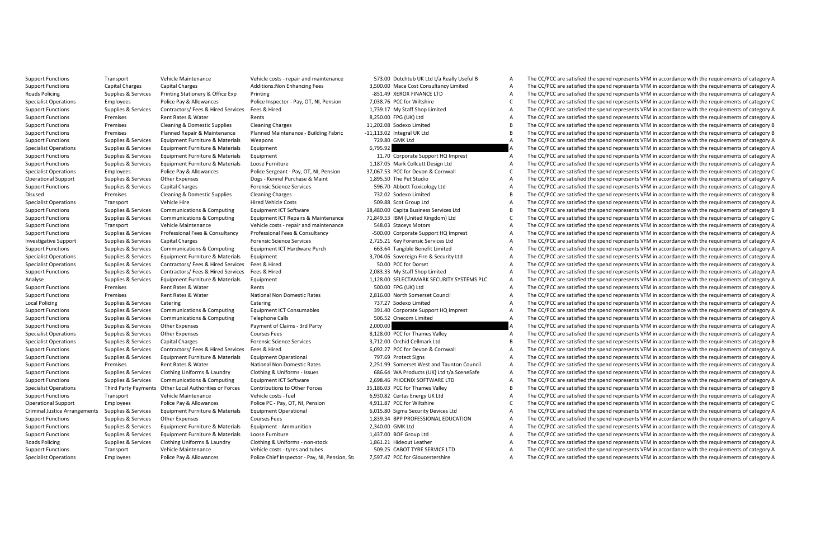Support Functions Transport Wehicle Maintenance Vehicle costs - repair and maintenance 573.00 Dutchtub UK Ltd Va Really Useful B A The CC/PCC are satisfied the spend represents VFM in accordance with the requirements of ca Support Functions: Capital Charges Capital Charges Capital Charges Capital Charges Capital Charges Capital Charges A The CC/PCC are satisfied the spend represents VFM in accordance with the requirements of category A The C The CC/PCC are satisfied the spend represents VFM in accordance with the requirements of category A Specialist Operations Employees Police Pay & Allowances Police Inspector - Pay, OT, NI, Pension 7,038.76 PCC for Wiltshire C The CC/PCC are satisfied the spend represents VFM in accordance with the requirements of category Support Functions Supplies & Services Contractors/ Fees & Hired Services Fees & Hired 1,739.17 My Staff Shop Limited A The CC/PCC are satisfied the spend represents VFM in accordance with the requirements of category A Support Functions Premises Rent Rates & Water Rents Rents Rents Rents Rents Rates Rents Rents Rents Rents Rents<br>Support Functions Premises Cleaning & Domestic Supplies Cleaning Changes and the material of the CC/PCC are sa Support Functions Premises Cleaning Domestic Supplies Cleaning Cleaning Cleaning Charges Cleaning Charges 11,202.08 Sodetocleaning Data The CC/PCC are satisfied the spend represents VFM in accordance with the requirements The CC/PCC are satisfied the spend represents VFM in accordance with the requirements of category B Support Functions Supplies Services Equipment Functions Materials Materials Materials Materials Weapons 729.80 GMK Ltd A The CC/PCC are satisfied the spend represents VFM in accordance with the requirements of category A T Equipment 6,795.92 **A** The CC/PCC are satisfied the spend represents VFM in accordance with the requirements of category A Support Functions Supplies Services Equipment Functions Materials Equipment Turniture & Materials Equipment In<br>Support Functions Supplies Services Equipment Furniture & Materials Loose Funditure 11.870 Mark Collect Data Co The CC/PCC are satisfied the spend represents VFM in accordance with the requirements of category A Specialst Derawing and the end of the Special Control of the Special Control of the Control of the Control of the Control of the Control of the Control of the Control of the Control of the Control of the Control of the Con A The CC/PCC are satisfied the spend represents VFM in accordance with the requirements of category A Support Functions Support Functions Support Functions Support Support Support Support Charges Services 596.70 Abbott Toxicology Ltd A The CC/PCC are satisfied the spend represents VFM in accordance with the requirements of The CC/PCC are satisfied the spend represents VFM in accordance with the requirements of category B Specialist Operations Transport Vehicle Hire Hired Vehicle Costs Content Vehicle Costs Content Costs 509.88 Scot Group Ltd A The CC/PCC are satisfied the spend represents VFM in accordance with the requirements of category 18,480.00 Capita Business Services Ltd **B** The CC/PCC are satisfied the spend represents VFM in accordance with the requirements of category B<br>71.849.53 IBM (United Kinedom) Ltd C C C The CC/PCC are satisfied the spend rep Support Explore Supplies & Communications & Communications and the communications of the Communication of the Communications of the Communications of the Communications of the Communications of the Communications and the C The CC/PCC are satisfied the spend represents VEM in accordance with the requirements of category A Support Europe Support and the Support of the Support of the Support of the Consultion of the Consultion of the Consultion of the Consultion of the Consultion of the Consultion of the Consultion of the Consultion of the Co The CC/PCC are satisfied the spend represents VFM in accordance with the requirements of category A Support pupples Services Communications & Computing Equipment ICT Hardware Purch and SSAG Tanglibe Benefit Limited Manufactures are esting the CC/PCC are satisfied the speed represents VFM in accordance with the requiremen The CC/PCC are satisfied the spend represents VFM in accordance with the requirements of category A Specialist Operations Supplies & Services Contractors/ Fees & Hired Services Fees & Hired Services Fees & Hired Services A The CC/PCC are satisfied the spend represents VFM in accordance with the requirements of category A The CC/PCC are satisfied the spend represents VFM in accordance with the requirements of category A Analyse Supplies & Services Equipment Furniture & Materials Equipment 1,128.00 SELECTAMARK SECURITY SYSTEMS PLC A The CC/PCC are satisfied the spend represents VFM in accordance with the requirements of category A Support Functions Premises Rent Rates & Water Rents Rents Security Rents SOO.00 FPG (UK) Ltd A The CC/PCC are satisfied the spend represents VFM in accordance with the requirements of category A Support Functions Premises Rent Rates & Water National Non Domestic Rates 2,816.00 North Somerset Council A The CC/PCC are satisfied the spend represents VFM in accordance with the requirements of category A Local Policing Supplies Supplies Catering Catering Catering Supplies Catering Transformation Catering Transformation of the CO/PCC are satisfied the spend represents VFM in accordance with the requirements of category A Th Supplies & Services Communications & Computing Equipment ICT Consumables 391.40 Corporate Support HQ Imprest A The CC/PCC are satisfied the spend represents VFM in accordance with the requirements of category A Support Functions Supplies Support Functions Supplies Catles Catles Computing Telephone Calls 506.52 Onecom Limited A The CC/PCC are satisfied the spend represents VFM in accordance with the requirements of category A The The CC/PCC are satisfied the spend represents VFM in accordance with the requirements of category A Specialist Operations Supplies Services Outlet Operations Supplies and Services Courses Fees 8,128.00 PCC for Thames Valley A The CC/PCC are satisfied the spend represents VFM in accordance with the requirements of categor Specialist Operations Supplies & Services Capital Charges Forensic Science Services 3,712.00 Orchid Cellmark Ltd B The CC/PCC are satisfied the spend represents VFM in accordance with the requirements of category B Support Functions Supplies & Services Contractors/ Fees & Hired Services Fees & Hired 6,092.27 PCC for Devon & Cornwall A The CC/PCC are satisfied the spend represents VFM in accordance with the requirements of category A The CC/PCC are satisfied the spend represents VEM in accordance with the requirements of category A Support Functions Premises Rent Rates Water National Non Domestic Rates 2,251.99 Somerset West and Taunton Council A The CC/PCC are satisfied the spend represents VFM in accordance with the requirements of category A The C The CC/PCC are satisfied the spend represents VEM in accordance with the requirements of category A Support Functions Supplies & Services Communications & Computing Equipment ICT Software 2,698.46 PHOENIX SOFTWARE LTD A The CC/PCC are satisfied the spend represents VFM in accordance with the requirements of category A Th The CC/PCC are satisfied the spend represents VEM in accordance with the requirements of category B Support Functions Transport Vehicle Maintenance Vehicle costs - fuel Costs - Functions - functions - functions - functions - functions - functions - functions - functions - functions - functions - functions - functions are The CC/PCC are satisfied the spend represents VEM in accordance with the requirements of category C Criminal using the service of the contract of the contract of the contract of the contract of the contract of the contract of the contract of the contract of the contract of the contract of the contract of the contract of The CC/PCC are satisfied the spend represents VFM in accordance with the requirements of category A Support Functions Supplies Services Equipment Functione Materials Equipment - Ammunition 2,340.00 GMK Ltd A The CC/PCC are satisfied the spend represents VFM in accordance with the requirements of category A The CC/PC are The CC/PCC are satisfied the spend represents VFM in accordance with the requirements of category A Roads Policing Supplies & Services Clothing Uniforms & Laundry Clothing & Uniforms - non-stock 1,861.21 Hideout Leather A The CC/PCC are satisfied the spend represents VFM in accordance with the requirements of category A Support Functions Transport Vehicle Maintenance Vehicle costs - tyres and tubes 509.25 CABOT TYRE SERVICE LTD A The CC/PCC are satisfied the spend represents VFM in accordance with the requirements of category A Specialist Operations Employees Police Pay & Allowances Police Chief Inspector - Pay NI. Pension, St. 7,597.47 PCC for Gloucestershire A The CC/PCC are satisfied the spend represents VFM in accordance with the requirements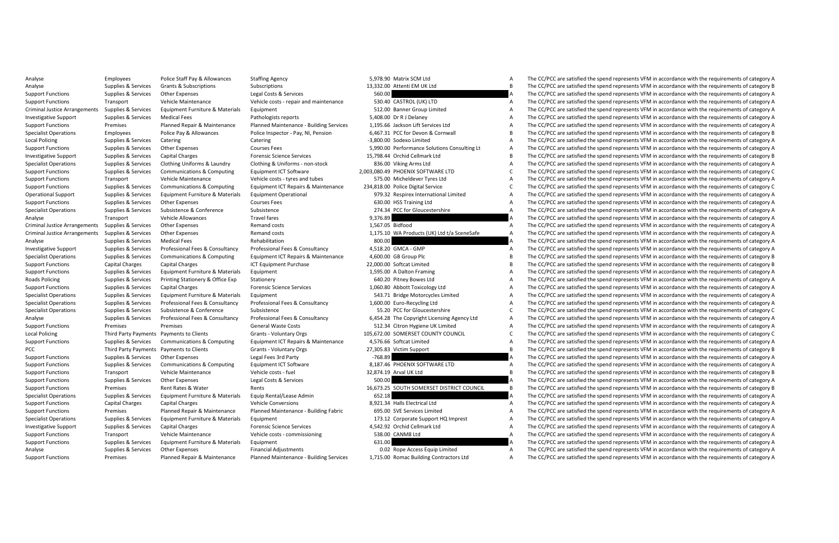|                  | 3.976.90 IVIdLIJA 3CIVI LLU                                                     |
|------------------|---------------------------------------------------------------------------------|
|                  | 13,332.00 Attenti EM UK Ltd                                                     |
| 560.00           |                                                                                 |
|                  | 530.40 CASTROL (UK) LTD                                                         |
|                  | 512.00 Banner Group Limited                                                     |
|                  | 5,408.00 Dr R J Delaney                                                         |
|                  | 1,195.66 Jackson Lift Services Ltd                                              |
|                  | 6.467.31 PCC for Devon & Cornwall                                               |
|                  | -3,800.00 Sodexo Limited                                                        |
|                  | 5,990.00 Performance Solutions Consulting Lt                                    |
|                  | 15,798.44 Orchid Cellmark Ltd                                                   |
|                  | 836.00 Viking Arms Ltd                                                          |
|                  | 2,003,080.49 PHOENIX SOFTWARE LTD                                               |
|                  | 575.00 Micheldever Tyres Ltd                                                    |
|                  | 234,818.00 Police Digital Service                                               |
|                  | 979.32 Respirex International Limited                                           |
|                  | 630.00 HSS Training Ltd                                                         |
|                  | 274.34 PCC for Gloucestershire                                                  |
| 9,376.89         |                                                                                 |
| 1,567.05 Bidfood |                                                                                 |
|                  | 1,175.10 WA Products (UK) Ltd t/a SceneSafe                                     |
| 800.00           |                                                                                 |
|                  | 4.518.20 GMCA - GMP                                                             |
|                  | 4,600.00 GB Group Plc                                                           |
|                  | 22,000.00 Softcat Limited                                                       |
|                  | 1,595.00 A Dalton Framing                                                       |
|                  | 640.20 Pitney Bowes Ltd                                                         |
|                  | 1,060.80 Abbott Toxicology Ltd                                                  |
|                  | 543.71 Bridge Motorcycles Limited                                               |
|                  | 1,600.00 Euro-Recycling Ltd                                                     |
|                  | 55.20 PCC for Gloucestershire                                                   |
|                  | 6,454.28 The Copyright Licensing Agency Ltd                                     |
|                  | 512.34 Citron Hygiene UK Limited                                                |
|                  | 105,672.00 SOMERSET COUNTY COUNCIL                                              |
|                  | 4,576.66 Softcat Limited                                                        |
|                  | 27,305.83 Victim Support                                                        |
| $-768.89$        |                                                                                 |
|                  | 8.187.46 PHOENIX SOFTWARE LTD                                                   |
|                  | 32,874.19 Arval UK Ltd                                                          |
| 500.00           |                                                                                 |
|                  | 16,673.25 SOUTH SOMERSET DISTRICT COUNCIL                                       |
| 652.18           |                                                                                 |
|                  | 8.921.34 Halls Electrical Ltd                                                   |
|                  | 695.00 SVE Services Limited                                                     |
|                  | 173.12 Corporate Support HQ Imprest                                             |
|                  | 4,542.92 Orchid Cellmark Ltd                                                    |
|                  | 538.00 CANM8 Ltd                                                                |
| 631.00           |                                                                                 |
|                  | 0.02 Rope Access Equip Limited<br><b>TAP OO Beneev Building Contractors Ltd</b> |
|                  |                                                                                 |

Analyse Employees Police Staff Pay & Allowances Staffing Agency 5,978.90 Matrix SCM Ltd A The CC/PCC are satisfied the spend represents VFM in accordance with the requirements of category A Analyse Supplies Survices Grants Subscriptions Subscriptions Subscriptions Subscriptions and the CC/PCC are satisfied the Subscriptions of the EM UK Ltd B The CC/PCC are satisfied the spend represents VFM in accordance wit The CC/PCC are satisfied the spend represents VEM in accordance with the requirements of category A Support Functions Transport Vehicle Maintenance Vehicle costs - repair and maintenance 530.40 CASTROL (UK) LTD A The CC/PCC are satisfied the spend represents VFM in accordance with the requirements of category A Criminal Justice Arrangements Supplies & Services Equipment Furniture & Materials Equipment 512.00 Banner Group Limited A The CC/PCC are satisfied the spend represents VFM in accordance with the requirements of category A Investigative Support Supplies & Services Medical Fees Pathologists reports 5,408.00 Dr RJ Delaney A The CC/PCC are satisfied the spend represents VFM in accordance with the requirements of category A Support Fund on the man of the man of the man of the man of the man of the computation of the computation of the computer of the computer of the computer of the computer of the computer of the computer of the computer of t The CC/PCC are satisfied the spend represents VFM in accordance with the requirements of category B Courses Catering Supplies Catering Catering -3,8000 South -3,800.00 Services Catering -3,800.00 South -3,800.00 Sodexo Limited A The CC/PCC are satisfied the spend represents VFM in accordance with the requirements of cat The CC/PCC are satisfied the spend represents VFM in accordance with the requirements of category A Investigative Support Support Support Support Supplies Capital Charges Capital Charges Services 15,798.44 Orchid Cellmark Ltd B The CC/PCC are satisfied the spend represents VFM in accordance with the requirements of categ The CC/PCC are satisfied the spend represents VFM in accordance with the requirements of category A Support Functions Supplies & Services Communications & Computing Caudian Computing Computing Computing Computing Computing Computing Computing Computing Computing Computing Computing Computing Computing Computing Computing A The CC/PCC are satisfied the spend represents VFM in accordance with the requirements of category A Support Europe Supplies Scription (Support Support Europe) and the Communications and the Communications of the Communications of the Communications of the Communications of the Communications of the Communications of the Operational Support Supplies & Services Foulument Furniture & Materials Foulument Operational on the service and the context of called the service of cale and recordance with the requirements of category A Support Functions Supplies Support Functions Support Functions Support Functions Courses Fees 630.00 HSS Training Ltd A The CC/PCC are satisfied the spend represents VFM in accordance with the requirements of category A Th The CC/PCC are satisfied the spend represents VFM in accordance with the requirements of category A Analyse Travel Transport Vehicle Allowances Travel fares 9,376.89 A The CC/PCC are satisfied the spend represents VFM in accordance with the requirements of category A The CC/PCC are satisfied the spend represents VFM in a A The CC/PCC are satisfied the spend represents VEM in accordance with the requirements of category A Criminal Justice Arrangements Supplies & Services Other Expenses Remand costs 1,175.10 WA Products (UK) Ltd t/a SceneSafe A The CC/PCC are satisfied the spend represents VFM in accordance with the requirements of category The CC/PCC are satisfied the spend represents VFM in accordance with the requirements of category A Investigation and the structure of the server and the server and the server and the server of the construction of the server of the server of the server of the server of the server of the server of the server of the server The CC/PCC are satisfied the spend represents VEM in accordance with the requirements of category B Support Functions Capital Charges Capital Charges Capital Charges Capital Charges 22,000.000 Softcat Limited and The CC/PCC are satisfied the spend represents VFM in accordance with the requirements of category B The CC/PC The CC/PCC are satisfied the spend represents VEM in accordance with the requirements of category A Roads Policing Supplies & Services Printing Stationery & Office Exp Stationery Stationery Stationery 610.20 Pitney Bowes Ltd A The CC/PCC are satisfied the spend represents VFM in accordance with the requirements of catego Support Functions Supplies & Services Capital Charges Forensic Science Services 1,060.80 Abbott Toxicology Ltd A The CC/PCC are satisfied the spend represents VFM in accordance with the requirements of category A Specialist Operations Supplies & Services Equipment Furniture & Materials Equipment Services Equipment Services and The CC/PCC are satisfied the spend represents VFM in accordance with the requirements of category A Specialist Derails (Species Professional Feed Manufacture of the Consulting of the Consulting of the Consulting of the Consulting of the Consulting of the Consulting of the Consulting of the Consulting of the Consulting of Supplies & Services Subsistence & Conference Subsistence Subsistence Subsistence Subsistence Subsistence Subsistence C The CC/PCC are satisfied the spend represents VFM in accordance with the requirements of category C Analyse Services (Services Professional Fees & Consultancy Consultancy Consultancy of the Services of the Consultance of the CONCA of The CONCA are assessed assessed and the Service of Category Analyse Consultance of the S The CC/PCC are satisfied the spend represents VFM in accordance with the requirements of category A Local Policing Third Payments Payments Payments Clients Payments Clients Clients Payments Clients Count Client<br>County Payments Design Counting Clients County Council Counter Counter Counter 105,0572.00 SOMERSET COUNTY COUN Supplies & Services Communications & Computing Equipment ICT Repairs & Maintenance 4.576.66 Softcat Limited A.576.66 Softcat Limited A.576.66 Softcat Limited A.576.66 Softcat Limited A.576.66 Softcat Limited A.576.66 Softc PCC Third Party Payments Olients Grants Voluntary Orgs 27,305.83 Victim Support B The CC/PCC are satisfied the spend represents VFM in accordance with the requirements of category B in accordance with the requirements of c The CC/PCC are satisfied the spend represents VFM in accordance with the requirements of category A Support Functions Supplies & Services Communications & Computing Cautions Computing Equipment ICT Software 8,187.46 PHOENIX SOFTWARE LTD A The CC/PCC are satisfied the spend represents VFM in accordance with the requiremen The CC/PCC are satisfied the spend represents VEM in accordance with the requirements of category B Support Functions Supplies Supplies Support Constant Constant Costs Category Costs Category Costs A The CC/PCC are satisfied the spend represents VFM in accordance with the requirements of category Rents A The COST are ser B. The CC/PCC are satisfied the spend represents VEM in accordance with the requirements of category B Specialist Operations Supplies Services Equipment Furniture & Materials Equip Rental/Lease Admin 862.18 A The CC/PCC are satisfied the spend represents VFM in accordance with the requirements of category A The CC/PCC are s The CC/PCC are satisfied the spend represents VEM in accordance with the requirements of category A Support Functions Premises Planned Repair & Maintenance - Building Fabric 695.00 SUPPOSES United Maintenance - Building Fabric 695.00 SUPPOSES A Support Functions Planned A The CC/PCC are satisfied the spend represents VFM The CC/PCC are satisfied the spend represents VEM in accordance with the requirements of category A Investigative Supplies Services Capital Charges Services Corporations and the Services Capital Charges A The CC/PCC are satisfied the spend represents VFM in accordance with the requirements of category A The CC/PCC are sa Vehicle Maintenance Vehicle costs - commissioning 538.00 CANM8 Ltd A The CC/PCC are satisfied the spend represents VFM in accordance with the requirements of category A The CC/PCC are satisfied the spend represents VFM in Support Functions Supplies & Services Equipment Furniture & Materials Equipment 631.00 631.00 A The CC/PCC are satisfied the spend represents VFM in accordance with the requirements of category A Analyse Supplies & Services Other Expenses Financial Adjustments Financial Adjustments 0.02 Rope Access Equip Limited A The CC/PCC are satisfied the spend represents VFM in accordance with the requirements of category A Support Functions Premises Planned Repair & Maintenance Planned Maintenance Buildine Services 1.715.00 Romac Building Contractors Ltd A The CC/PCC are satisfied the spend represents VFM in accordance with the requirements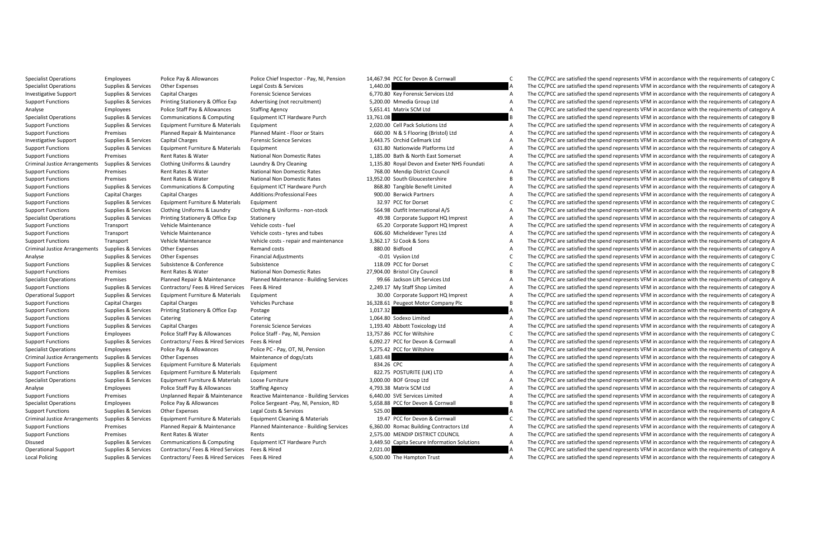Specialist Operations Semployees Police Pay & Allowances Police Chief Inspector - Pay NL Pension 14.467.94 PCC for Devon & Cornwall C The CC/PCC are satisfied the spend represents VEM in accordance with the requirements of

Specialist Operations Supplies Services Other Expenses Legal Costs Services 1,440.00 A The CC/PCC are satisfied the spend represents VFM in accordance with the requirements of category A The CC/PC are satisfied the spend r The CC/PCC are satisfied the spend represents VFM in accordance with the requirements of category A Supplies & Services Printing Stationery & Office Exp Advertising (not recruitment) 5.200.00 Mmedia Group Ltd America The CC/PCC are satisfied the spend represents VFM in accordance with the requirements of category A Analyse Employees Police Staff Pay & Allowances Staffing Agency 5,651.41 Matrix SCM Ltd A The CC/PCC are satisfied the spend represents VFM in accordance with the requirements of category A Specialist Operations Supplies & Services Communications & Computing Equipment ICT Hardware Purch 13,761.08 B The CC/PCC are satisfied the spend represents VFM in accordance with the requirements of category B Support Functions Support Functions Suppliers Equipment Functions Support Equipment Category A The CC/PCC are satisfied the spend represents VFM in accordance with the requirements of category A The CC/PCC are satisfied th The CC/PCC are satisfied the spend represents VFM in accordance with the requirements of category A Investigative Support Support Support Support Support Support Support Support Support Support Support Support Support Support Support Support Support Support Support Support Support Support Support Support Cellmark Ltd A T The CC/PCC are satisfied the spend represents VFM in accordance with the requirements of category A Support Functions Premises Rent Rates Rent Rates Math And Domestic Rates Premises Rent Rates A The CONOTH A The CONOTH A The CONOTH A The CONOTH EAST AND A THE CONOTHER ART AND A THE CONOTHER ART AND A THE CONOTHER ART A T The CC/PCC are satisfied the spend represents VFM in accordance with the requirements of category A Support Functions Premises Rent Rates Rates Rent Rates Rent Rates Premises Rent Rates Rent Rates Premises American District Council A The CC/PCC are satisfied the spend represents VFM in accordance with the requirements of Rates Rational Non Domestic Rates And 13,952.00 South Gloucestershire B The CC/PCC are satisfied the spend represents VFM in accordance with the requirements of category B a S68.80 Tangible Benefit Limited A The CC/PCC are support support of the structure of the structure of the control of the structure of the structure of the structure of the structure of the structure of the structure of the structure of the structure of the structure of t Support Functions Capital Charges Capital Charges Additions:Professional Fees 900.00 Berwick Partners A The CC/PCC are satisfied the spend represents VFM in accordance with the requirements of category A Support Functions Supplies Services Equipment Functions Supplications Support Functions Support Functions Support Functions (Support Functions Support Functions Support Functions Support Functions Category Continue & Categ The CC/PCC are satisfied the spend represents VEM in accordance with the requirements of category A Specialist Operations Supplies According Supplies According Stationery According Stationery 49.98 Corporate Corporate Support HQ Imprest A The CC/PCC are satisfied the spend represents VFM in accordance with the requiremen The CC/PCC are satisfied the spend represents VEM in accordance with the requirements of category A Support Functions Transport Vehicle Maintenance Vehicle Costs - tyres and tubes - tyres and tubes and the CC/PCC are satisfied the Support Functions - tyres and the spend represents VFM in accordance with the requirements The CC/PCC are satisfied the spend represents VEM in accordance with the requirements of category A Criminal Justice Arrangements Supplies Supplies Supplies and Criminal Criminal Dustices Arrangements Arrangements Arrangements Analysis and the Criminal Arrangements of the Services Other Experiments of category Criminal A The CC/PCC are satisfied the spend represents VFM in accordance with the requirements of category C Support Functions Subsistence Subsistence Support Functions Subsistence (Subsistence 118.09 PCC for Dorset Conference 118.09 PC/PCC are satisfied the spend represents VFM in accordance with the requirements of category Rep The CC/PCC are satisfied the spend represents VFM in accordance with the requirements of category B Specialist Operations Premises Planned Repair & Maintenance Planned Maintenance - Building Services 99.66 Jackson Lift Services Ltd AThe CC/PCC are satisfied the spend represents VFM in accordance with the requirements of Support Functions Supplies & Services Contractors/ Fees & Hired Services Fees & Hired 2,249.17 My Staff Shop Limited A The CC/PCC are satisfied the spend represents VFM in accordance with the requirements of category A Operational Support Supplies & Services Equipment Furniture & Materials Equipment 30.00 Corporate Support HQ Imprest A The CC/PCC are satisfied the spend represents VFM in accordance with the requirements of category A Support Functions Capital Charges Capital Charges Capital Charges Capital Charges Vehicles Purchase 16,328.61 Peugeot Motor Company Plc B The CC/PCC are satisfied the spend represents VFM in accordance with the requirement Support Functions Supplies & Services Printing Stationery & Office Exp Postage 1,017.32 1,017.32 A The CC/PCC are satisfied the spend represents VFM in accordance with the requirements of category A Support Functions Supplies Services Catering Catering Catering 1,064.80 Sodexo Limited A The CC/PCC are satisfied the spend represents VFM in accordance with the requirements of category A The CC/PCC are satisfied the spen The CC/PCC are satisfied the spend represents VFM in accordance with the requirements of category A Support Functions Employees Police Staff Pay & Allowances Police Staff - Pay, NI, Pension 13,757.86 PCC for Wiltshire COPC for Wiltshire COPCC are satisfied the spend represents VFM in accordance with the requirements of c Support Functions Supplies & Services Contractors/ Fees & Hired Services Fees & Hired 6,092.27 PCC for Devon & Cornwall A The CC/PCC are satisfied the spend represents VFM in accordance with the requirements of category A Specialist Operations Employees Police Pay & Allowances Police Pay OT, NI, Pension 5,275.42 PC for Wiltshire A The CC/PCC are satisfied the spend represents VFM in accordance with the requirements of category A The CC/PCC The CC/PCC are satisfied the spend represents VEM in accordance with the requirements of category A Support Functions Supplies Services Equipment Functions Materials Equipment and the Satisfact A The CC/PCC are satisfied the spend represent Support Functions Suppliers and incrediate the spend represent Schlesting and the The CC/PCC are satisfied the spend represents VEM in accordance with the requirements of category A Specialist Operations Supplies Services Equipment Furniture & Materials Loose Furniture & Services A The CC/PCC are satisfied the Specialist Decrement Scribstock (Service A The CC/PC are satisfied the spend represents VFM The CC/PCC are satisfied the spend represents VFM in accordance with the requirements of category A Support Fundanty of the main of the main of the main of the main of the computer of the computer of the computer of the computer of the computer of the computer of the computer of the computer of the computer of the comput The CC/PCC are satisfied the spend represents VEM in accordance with the requirements of category B Support Functions Supplies Supplies Support Functions Support Functions Support Functions Control Control Control Control of the CC/PCC are satisfied the spend represents VFM in accordance with the requirements of category C. The CC/PCC are satisfied the spend represents VEM in accordance with the requirements of category C. Support Fund on the premises and the main of the main of the main of the content of the content of the content of the content of the content of the content of the content of the content of the content of the content of the A The CC/PCC are satisfied the spend represents VFM in accordance with the requirements of category A Supplies & Services Communications & Computing Equipment ICT Hardware Purch 3.449.50 Capita Secure Information Solutions A The CC/PCC are satisfied the spend represents VFM in accordance with the requirements of category A Operational Support Supplies & Services Contractors/ Fees & Hired Services Fees & Hired 2,021.00 A The CC/PCC are satisfied the spend represents VFM in accordance with the requirements of category A Local Policing Supplies & Services Contractors/ Fees & Hired Services Fees & Hired 6,500.00 The Hampton Trust A The CC/PCC are satisfied the spend represents VFM in accordance with the requirements of category A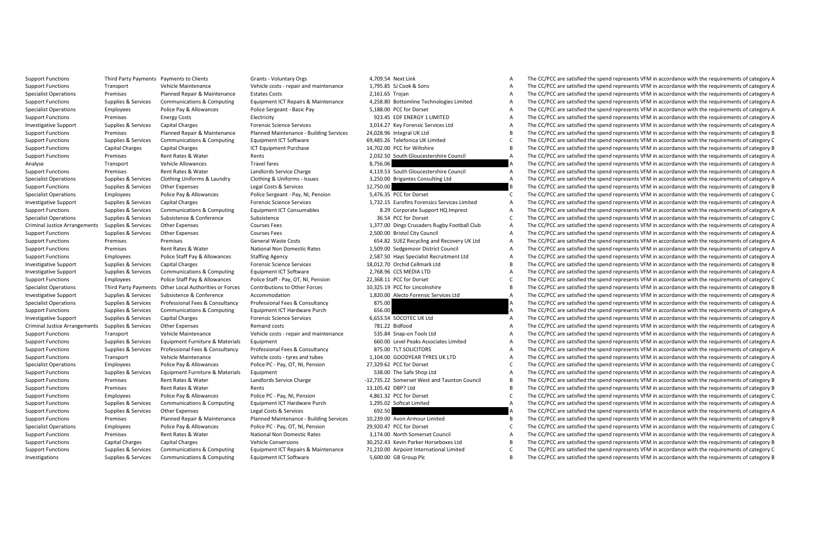|                    | 4.709.34 NEXL LIIIN                          |
|--------------------|----------------------------------------------|
|                    | 1,795.85 SJ Cook & Sons                      |
| 2,161.65 Trojan    |                                              |
|                    | 4,258.80 Bottomline Technologies Limited     |
|                    | 5.188.00 PCC for Dorset                      |
|                    | 923.45 EDF ENERGY 1 LIMITED                  |
|                    | 3,014.27 Key Forensic Services Ltd           |
|                    | 24,028.96 Integral UK Ltd                    |
|                    | 69,485.26 Telefonica UK Limited              |
|                    | 14,702.00 PCC for Wiltshire                  |
|                    | 2,032.50 South Gloucestershire Council       |
| 8,756.06           |                                              |
|                    | 4,119.53 South Gloucestershire Council       |
|                    | 3,250.00 Brigantes Consulting Ltd            |
| 12,750.00          |                                              |
|                    | 5,476.35 PCC for Dorset                      |
|                    | 1.732.15 Eurofins Forensics Services Limited |
|                    | 8.29 Corporate Support HQ Imprest            |
|                    | 36.54 PCC for Dorset                         |
|                    | 1,377.00 Dings Crusaders Rugby Football Club |
|                    | 2,500.00 Bristol City Council                |
|                    | 654.82 SUEZ Recycling and Recovery UK Ltd    |
|                    | 1,509.00 Sedgemoor District Council          |
|                    | 2,587.50 Hays Specialist Recruitment Ltd     |
|                    | 18,012.70 Orchid Cellmark Ltd                |
|                    | 2,768.96 CCS MEDIA LTD                       |
|                    | 22,368.11 PCC for Dorset                     |
|                    | 10,325.19 PCC for Lincolnshire               |
|                    | 1,820.00 Alecto Forensic Services Ltd        |
| 875.00             |                                              |
| 656.00             |                                              |
|                    | 6.653.54 SOCOTEC UK Ltd                      |
|                    | 781.22 Bidfood                               |
|                    | 535.84 Snap-on Tools Ltd                     |
|                    | 660.00 Level Peaks Associates Limited        |
|                    | 875.00 TLT SOLICITORS                        |
|                    | 1.104.00 GOODYEAR TYRES UK LTD               |
|                    | 27,329.62 PCC for Dorset                     |
|                    | 538.00 The Safe Shop Ltd                     |
|                    | 12,735.22 Somerset West and Taunton Council  |
| 13,105.42 DBP7 Ltd |                                              |
|                    | 4,861.32 PCC for Dorset                      |
|                    | 1,295.02 Softcat Limited                     |
|                    | 692.50                                       |
|                    | 10.239.00 Avon Armour Limited                |
|                    | 29,920.47 PCC for Dorset                     |
|                    | 3,174.00 North Somerset Council              |
|                    | 30,252.43 Kevin Parker Horseboxes Ltd        |
|                    | 71,210.00 Airpoint International Limited     |
|                    |                                              |

Support Functions Third Party Payments Payments to Clients Grants - Voluntary Orgs 4,709.54 Next Link A The CC/PCC are satisfied the spend represents VFM in accordance with the requirements of category A Support Functions Transport Vehicle Maintenance Vehicle costs - repair and maintenance 1,795.85 SJ Cook & Sons A The CC/PCC are satisfied the spend represents VFM in accordance with the requirements of category A The CC/PC The CC/PCC are satisfied the spend represents VFM in accordance with the requirements of category A Supplies & Services Communications & Computing Equipment ICT Repairs & Maintenance 4.258.80 Bottomline Technologies Limited A The CC/PCC are satisfied the spend represents VFM in accordance with the requirements of categor Specialist Operations Employees Police Pay & Allowances Police Sergeant - Basic Pay 5,188.00 PCC for Dorset A The CC/PCC are satisfied the spend represents VFM in accordance with the requirements of category A Support Functions Premises Energy Costs Electricity Electricity 923.45 EDF ENERGY 1 LIMITED A The CC/PCC are satisfied the spend represents VFM in accordance with the requirements of category A Investigative Support Support Support Supplies Support Support Support Science Services Services 3,014.27 Key Forensic Services Capital Charges A The CC/PCC are satisfied the Spend represents VFM in accordance with the req The CC/PCC are satisfied the spend represents VFM in accordance with the requirements of category B Support Functions Supplies Supplications Suppliment ICT Software Computing Computing Computing Computing Computing Computing Computing Computing Computing Computing Computing Computing Computing Computing Computing Computi Support Functions Capital Charges Capital Charges Capital Charges Capital Charges ICT Development Purchase 14,702.00 PCC for Wiltshire B The CC/PCC are satisfied the spend represents VFM in accordance with the requirements Premises Arent Rates Arents Premises Arents 2022, December 2,032.50 South Gloucestershire Council A The CC/PCC are satisfied the spend represents VFM in accordance with the requirements of category A The CC/PCC are satisf Analyse Transport Vehicle Allowances Travel fares Travel fares 8,756.06 A The CC/PCC are satisfied the spend represents VFM in accordance with the requirements of category A Support Functions Premises Rent Rates Rent Rates Rent Rates A, the Council Charge 4,119.53 South Gloucestershire Council A The CC/PCC are satisfied the spend represents VFM in accordance with the requirements of category A A The CC/PCC are satisfied the spend represents VFM in accordance with the requirements of category A Support Functions Supplies & Support Costs and Costs and the Support Costs and the Support Costs and the Support Costs and the Support Costs and the Support Costs and the Support Costs and the Support Costs and the Support The CC/PCC are satisfied the spend represents VEM in accordance with the requirements of category C Investigation of the structure of the control of the control of the control of the control of the control of the control of the control of the control of the control of the control of the control of the control of the cont The CC/PCC are satisfied the spend represents VEM in accordance with the requirements of category A Specialist Operations Subsistence Sometheast Operations Subsistence Subsistence 36.54 PCC for Dorset Conference 36.54 PCC/PCC are satisfied the spend represents VFM in accordance with the requirements of category Conferenc The CC/PCC are satisfied the spend represents VEM in accordance with the requirements of category A Support Functions Supplies Services Courses Fees 2,500.00 Bristol City Council City Council A The CC/PCC are satisfied the spend represents VFM in accordance with the requirements of category A The CC/PCC are satisfied the SSAR2 SUEZ Recycling and Recovery UK Ltd A The CC/PCC are satisfied the spend represents VFM in accordance with the requirements of category A The CC/PC are satisfied the spend represents VFM in accordance with the require Support Functions Premises Rent Rates Rates Rent Rates Rent Rates Premises Rent Rates American District Council A The CC/PCC are satisfied the spend represents VFM in accordance with the requirements of category A The CC/P The CC/PCC are satisfied the spend represents VFM in accordance with the requirements of category A Investigative Support Supplies Services Capital Charges Capital Charges Capital Charges Capital Charges Capital Charges Capital Charges The CC/CC are satisfied the spend represents VFM in accordance with the requirements o The CC/PCC are satisfied the spend represents VEM in accordance with the requirements of category A Support Functions Employees Police Staff Pay & Allowances Police Staff - Pay, OT, NI, Pension 22,368.11 PCC for Dorset C The CC/PCC are satisfied the spend represents VFM in accordance with the requirements of category C Specialist Operations Third Party Payments Other Local Authorities or Forces Contributions to Other Forces securify to ther Forces of the Forces and the CONSTATE PCC for Lincolnshire B The CC/PCC are satisfied the spend re Investigative Support Supplies & Services Subsistence & Conference Accommodation 1,820.00 Alecto Forensic Services Ltd A The CC/PCC are satisfied the spend represents VFM in accordance with the requirements of category A Specialist Operations Supplies Survices Professional Frofessional Feederational Feesting Professional Feesting<br>Supplies Supplies Services Communications & Computing Equipment IC Hardware Purch in a SS6.00 A The CC/PCC are Support Functions Supplies & Services Communications & Computing Equipment ICT Hardware Purch 656.00 A The CC/PCC are satisfied the spend represents VFM in accordance with the requirements of category A Investigative Support Support Support Support Support Support Support Support Support Support Support Support Support Support Support Support Support Support Support A The CC/PCC are satisfied the spend represents VFM in a The CC/PCC are satisfied the spend represents VFM in accordance with the requirements of category A Support Functions Transport Vehicle Costs Transport Vehicle Costs - repair and maintenance 535.84 Snap-on Tools Ltd A The CC/PCC are satisfied the spend represents VFM in accordance with the requirements of category A The Equipment Functions Supplies Associates Limited A The CC/PCC are satisfied the spend represents VFM in accordance with the requirements of category A Support Expression of the services of the consumer consumer and the consumer and the consumer and the consumer<br>Support of the service of the service of the consumer and the service of the consumer and the consumer a membe<br> The CC/PCC are satisfied the spend represents VEM in accordance with the requirements of category A Specialist Operations Employees Police Pay & Allowances Police Pay, OT, NI, Pension 27,329.62 PCC for Dorset The CC/PC are satisfied the spend represents VFM in accordance with the requirements of category C The Specialist The CC/PCC are satisfied the spend represents VEM in accordance with the requirements of category A Support Functions Premises Rent Rates Rates Rent Landlords Service Charge -12,735.22 Somerset West and Taunton Council B The CC/PCC are satisfied the spend represents VFM in accordance with the requirements of category B a The CC/PCC are satisfied the spend represents VFM in accordance with the requirements of category B Support Functions Employees Police Pay & Allowances Police Pay M, Pension 4,851.32 PCC for Dorset Conferent Pay, NI, Pension 4,861.32 PCC for Dorset Category Category Category Category Category Category Category Category C The CC/PCC are satisfied the spend represents VEM in accordance with the requirements of category A Support Functions Supplies & Services Other Expenses Legal Costs & Services Costs A The COST are services Costs and The COST are services Costs and The COST are spend represents VFM in accordance with the requirements of c The CC/PCC are satisfied the spend represents VEM in accordance with the requirements of category B Specialist Operations Employees Police Pay & Allowances Police PC-Pay, OT, NI, Pension 29,20.47 PCC for Dorset Category Category Correct Category 20, The CC/PC are satisfied the spend represents VFM in accordance with the A The CC/PCC are satisfied the spend represents VFM in accordance with the requirements of category A Support Functions Capital Charges Capital Charges Vehicle Conversions 30,252.43 Kevin Parker Horseboxes Ltd B The CC/PCC are satisfied the spend represents VFM in accordance with the requirements of category B Support Functions Supplies & Services Communications & Computing Equipment ICT Repairs & Maintenance 71,210.00 Airpoint International Limited C The CC/PCC are satisfied the spend represents VFM in accordance with the requi Investigations Supplies & Services Communications & Computing Equipment ICT Software 5,600.00 GB Group Plc B The CC/PCC are satisfied the spend represents VFM in accordance with the requirements of category B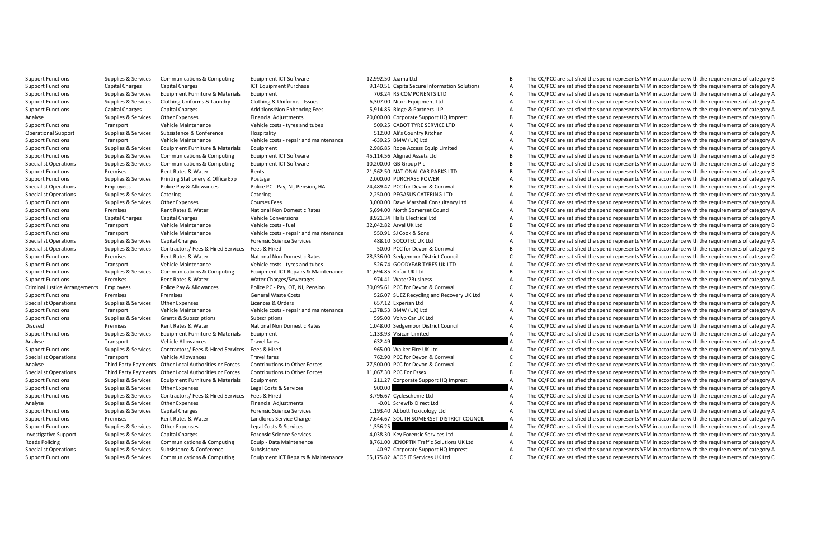|          | 12,992.50 Jaama Ltd                          |
|----------|----------------------------------------------|
|          | 9,140.51 Capita Secure Information Solutions |
|          | 703.24 RS COMPONENTS LTD                     |
|          | 6,307.00 Niton Equipment Ltd                 |
|          | 5,914.85 Ridge & Partners LLP                |
|          | 20,000.00 Corporate Support HQ Imprest       |
|          | 509.25 CABOT TYRE SERVICE LTD                |
|          | 512.00 Ali's Country Kitchen                 |
|          | -639.25 BMW (UK) Ltd                         |
|          | 2,986.85 Rope Access Equip Limited           |
|          | 45,114.56 Aligned Assets Ltd                 |
|          | 10,200.00 GB Group Plc                       |
|          | 21,562.50 NATIONAL CAR PARKS LTD             |
|          | 2,000.00 PURCHASE POWER                      |
|          | 24,489.47 PCC for Devon & Cornwall           |
|          | 2.250.00 PEGASUS CATERING LTD                |
|          | 3.000.00 Dave Marshall Consultancy Ltd       |
|          | 5.694.00 North Somerset Council              |
|          | 8.921.34 Halls Electrical Ltd                |
|          | 32.042.82 Arval UK Ltd                       |
|          | 550.91 SJ Cook & Sons                        |
|          | 488.10 SOCOTEC UK Ltd                        |
|          | 50.00 PCC for Devon & Cornwall               |
|          | 78.336.00 Sedgemoor District Council         |
|          | 526.74 GOODYEAR TYRES UK LTD                 |
|          | 11.694.85 Kofax UK Ltd                       |
|          | 974.41 Water2Business                        |
|          | 30.095.61 PCC for Devon & Cornwall           |
|          | 526.07 SUEZ Recycling and Recovery UK Ltd    |
|          | 657.12 Experian Ltd                          |
|          | 1,378.53 BMW (UK) Ltd                        |
|          | 595.00 Volvo Car UK Ltd                      |
|          | 1,048.00 Sedgemoor District Council          |
|          | 1,133.93 Visican Limited                     |
| 632.49   |                                              |
|          | 965.00 Walker Fire UK Ltd                    |
|          | 762.90 PCC for Devon & Cornwall              |
|          | 77,500.00 PCC for Devon & Cornwall           |
|          | 11,067.30 PCC For Essex                      |
|          | 211.27 Corporate Support HQ Imprest          |
| 900.00   |                                              |
|          | 3,796.67 Cyclescheme Ltd                     |
|          | -0.01 Screwfix Direct Ltd                    |
|          | 1,193.40 Abbott Toxicology Ltd               |
|          | 7,644.67 SOUTH SOMERSET DISTRICT COUNCIL     |
| 1,356.25 |                                              |
|          | 4,038.30 Key Forensic Services Ltd           |
|          | 8,761.00 JENOPTIK Traffic Solutions UK Ltd   |
|          | 40.97 Corporate Support HQ Imprest           |
|          | 55,175.82 ATOS IT Services UK Ltd            |

Support Functions Supplies & Services Communications & Computing Faultoment ICT Software 12,992.50 Jaama Itd B The CC/PCC are satisfied the spend represents VFM in accordance with the requirements of category B Support Functions Capital Charges Capital Charges ICT Equipment Purchase 9,140.51 Capital Charges Capital Charges A The CC/PCC are satisfied the spend represents VFM in accordance with the requirements of category A The CC A The CC/PCC are satisfied the spend represents VEM in accordance with the requirements of category A Supplies & Services Clothing Uniforms & Laundry Clothing & Uniforms - Issues 6.307.00 Niton Equipment Ltd A The CC/PCC are satisfied the spend represents VFM in accordance with the requirements of category A Support Functions Capital Charges Capital Charges Additions:Non Enhancing Fees 5,914.85 Ridge & Partners LLP A The CC/PCC are satisfied the spend represents VFM in accordance with the requirements of category A Analyse Supplies & Services Other Expenses Financial Adjustments 20,000.00 Corporate Support HQ Imprest B The CC/PCC are satisfied the spend represents VFM in accordance with the requirements of category B Support Functions Transport Vehicle Costs Vehicle Costs Transport Costs - tyres and tubes 509.25 CABOT TYRE SERVICE LTD A The CC/PCC are satisfied the spend represents VFM in accordance with the requirements of category A The CC/PCC are satisfied the spend represents VFM in accordance with the requirements of category A Support Functions Transport Vehicle Costs Vehicle Costs Transport Vehicle costs Costs Costs and maintenance -6<br>Support Functions Transport Control of Costs A The COST A The COCC are satisfied the spend represents VFM in ac The CC/PCC are satisfied the spend represents VFM in accordance with the requirements of category A Support Functions Supplies & Services Communications & Computing Equipment ICT Software 45,114.56 Aligned Assets Ltd B The CC/PCC are satisfied the spend represents VFM in accordance with the requirements of category B the The CC/PCC are satisfied the spend represents VFM in accordance with the requirements of category B Support Functions Premises Rent Rates Water Premises Rents Premises Rent Rates Rent Rates Rents 2000.<br>Support Functions Anatomy and Design Postage Postage Postage 2000.00 PURCHASE POWER A The CC/PCC are satisfied the spend Postage **Express A The CC/PCC** are satisfied the spend represents VFM in accordance with the requirements of category A Specialist Constant of the Early Police Pay May are provided by Pay and Pay and December 24, N. Pension, HA 24,8947 PC (Pay N. Pensiled the speed persents VFM in accordance with the requirements of category Branch Category Catering Catering Catering Catering Catering Catering Catering Catering Catering Catering 2,250.00 PEGASUS CATERING LTD A The CC/PCC are satisfied the spend represents VFM in accordance with the requirements of category A Support Functions Supplies Services Support Functions Support Courses Fees 3,000.00 Dave Marshall Consultancy Ltd A The CC/PCC are satisfied the spend represents VFM in accordance with the requirements of category A The CC The CC/PCC are satisfied the spend represents VFM in accordance with the requirements of category A Support Functions Capital Charges Capital Charges Support Charges Capital Charges Capital Charges Capital Charges Vehicle Conversions 8,921.34 Halls Electrical Ltd A The CC/PCC are satisfied the spend represents VFM in acc The CC/PCC are satisfied the spend represents VEM in accordance with the requirements of category B Support Functions Transport Vehicle Maintenance Vehicle costs repair ad maintenance 550.91 Support Cook & Sons A The CC/PCC are satisfied the spend represents VFM in accordance with the requirements of category A The CC/PC The CC/PCC are satisfied the spend represents VFM in accordance with the requirements of category A Specialist Operations Supplies & Services Contractors/ Fees & Hired Services Fees & Hired Services Fees & Hired Services Fees and The CC/PCC are satisfied the spend represents VFM in accordance with the requirements of cat The CC/PCC are satisfied the spend represents VFM in accordance with the requirements of category C Support Functions Transport Vehicle Maintenance Vehicle costs - tyres and tubes - tyres and tubes - tyres and tubes - tyres and tubes of category A The CC/PCC are satisfied the spend represents VFM in accordance with the r The CC/PCC are satisfied the spend represents VEM in accordance with the requirements of category B Support Functions Premises Rent Rates & Water Water Charges/Sewerages 974.41 Water2Business A The CC/PCC are satisfied the spend represents VFM in accordance with the requirements of category A Criminal Justice Arrangements Employees Police Pay & Allowances Police PC - Pay, OT, NI, Pension 30,095.61 PCC for Devon & Cornwall C The CC/PCC are satisfied the spend represents VFM in accordance with the requirements of Support Functions Premises Premises Premises Seneral Waste Costs S26.07 SUEZ Recycling and Recovery UK Ltd A The CC/PCC are satisfied the spend represents VFM in accordance with the requirements of category A Specialist Operations Specialist Operations Supplies Supplies Conditions Cates A The CC/PCC are accorders of the Service of Conditional Category A The CC/PCC are actisfied the spend represents VFM in accordance with the re Support Functions Transport Vehicle Maintenance Vehicle costs - repair and maintenance 1,378.53 BMW (UK) Ltd A The CC/PCC are satisfied the spend represents VFM in accordance with the requirements of category A Support Functions Support Functions Subscriptions Subscriptions Subscriptions Subscriptions Subscriptions of De<br>District A The CC/PCC are satisfied the spend represents VFM in accordance with the requirements of category A The CC/PCC are satisfied the spend represents VFM in accordance with the requirements of category A Support Functions Supplies & Services Equipment Furniture & Materials Equipment 1,133.93 Visican Limited A The CC/PCC are satisfied the spend represents VFM in accordance with the requirements of category A Analyse Transport Vehicle Allowances Travel fares Travel fares 632.49 A The CC/PCC are satisfied the spend represents VFM in accordance with the requirements of category A Support Functions Supplies & Support Functions/ Fees & Hired Services Fees & Hired Services Fees and the Support Fire UK Ltd A The CC/PCC are satisfied the spend represents VFM in accordance with the requirements of catego Travel Iares Travel Allowances Travel operations Travel Corner Vehicle Allowances Travel Corner Allowances Travel Corner and Corner Corner Corner Allowance Category C The CC/PCC are satisfied the spend represents VFM in ac Analyse Third Party Payments Ober Lical Authorities of Greenome Theory of The Community of The Community of the Community of the Community of the Community of the Community of the Community of the Community of the Communit The CC/PCC are satisfied the spend represents VEM in accordance with the requirements of category B Support Functions Supplies & Services Equipment Furniture & Materials Equipment 211.27 Corporate Support HQ Imprest A The CC/PCC are satisfied the spend represents VFM in accordance with the requirements of category A The The CC/PCC are satisfied the spend represents VFM in accordance with the requirements of category A Support Functions Supplies Services Contractors/ Fees & Hired Services Fees & Hired Services Fees & Hired Services Category A The CC/PCC are satisfied the spend represents VFM in accordance with the requirements of categor The CC/PCC are satisfied the spend represents VFM in accordance with the requirements of category A Support Functions Supplies Services Category Abbott Charges Services Capital Charges Services 1,193.40 Abbott Toxicology Ltd A The CC/PCC are satisfied the spend represents VFM in accordance with the requirements of catego A The CC/PCC are satisfied the spend represents VEM in accordance with the requirements of category A Support Functions Supplies Services Other Expenses Legal Costs & Services 1,356.25 A The CC/PCC are satisfied the spend represents VFM in accordance with the requirements of category A The CC/PC are satisfied the spend rep The CC/PCC are satisfied the spend represents VFM in accordance with the requirements of category A Roads Policing Supplies & Services Communications & Computing Equip - Data Maintenence 3.761.00 JENOPTIK Traffic Solutions UK Ltd A The CC/PCC are satisfied the spend represents VFM in accordance with the requirements of c Specialist Operations Supplies & Services Subsistence & Conference Subsistence Subsistence + 40.97 Corporate Support HQ Imprest A The CC/PCC are satisfied the spend represents VFM in accordance with the requirements of cat Supplies & Services Communications & Computing Equipment ICT Repairs & Maintenance 55.175.82 ATOS IT Services UK Ltd C The CC/PCC are satisfied the spend represents VFM in accordance with the requirements of category C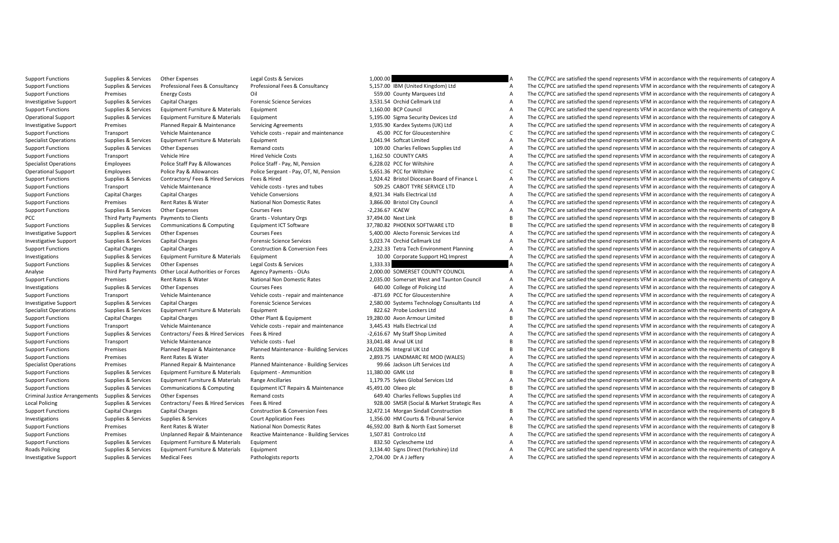Support Functions Supplies & Services Other Expenses Legal Costs & Services 1,000.00 A The CC/PCC are satisfied the spend represents VFM in accordance with the requirements of category A Support Experiment Support of the support of the support of the sealed of the support of the control of the support of the support of the support of the support of the support of the support of the support of the support o The CC/PCC are satisfied the spend represents VFM in accordance with the requirements of category A Investigative Support Supplies & Services Capital Charges Forensic Science Services 3,531.54 Orchid Cellmark Ltd A The CC/PCC are satisfied the spend represents VFM in accordance with the requirements of category A Support Functions Supplies & Services Equipment Furniture & Materials Equipment 1,160.00 BCP Council A The CC/PCC are satisfied the spend represents VFM in accordance with the requirements of category A Operational Support Supplies & Services Equipment Furniture & Materials Equipment Stategory A Stategory A The CC/PCC are satisfied the spend represents VFM in accordance with the requirements of category A Investigative Support Premises Planned Repair & Maintenance Servicing Agreements 1,935.90 Kardex Systems (UK) Ltd A The CC/PCC are satisfied the spend represents VFM in accordance with the requirements of category C<br>Suppor The CC/PCC are satisfied the spend represents VFM in accordance with the requirements of category C Specialist Operations Supplies & Services Equipment Furniture & Materials Equipment Furniture & Materials Equipment 1,09.00 Characterium a The CC/PCC are satisfied the spend represents VFM in accordance with the requiremen The CC/PCC are satisfied the spend represents VFM in accordance with the requirements of category A Support Functions Transport Vehicle Hire Hired Vehicle Costs 1,162.50 Control Costs 1,162.50 Control Costs 1,162.50 COUNTY CARS A The CC/PCC are satisfied the spend represents VFM in accordance with the requirements of cat The CC/PCC are satisfied the spend represents VFM in accordance with the requirements of category A Operational Support Employees Police Pay & Allowances Police Sergeant - Pay, OT, NI, Pension 5,51.36 PCC for Wiltshire Companisment of Category C The CC/PCC are satisfied the spend represents VFM in accordance with the req Fees & Hired Street Hired Streets of category A The CC/PCC are satisfied the spend represents VFM in accordance with the requirements of category A Support Functions Transport Vehicle Costs - tyres and tubes - tyres and tubes - tyres and tubes - tyres and tubes - tyres and the CC/PC are spend represents VFM in accordance with the requirements of category A The CC/PC a A The CC/PCC are satisfied the spend represents VEM in accordance with the requirements of category A Support Functions Premises Rent Rates Rent Rates Rent Rates Rent Rates and Domestic Rates 3,866.00 Bristol City Council A The CC/PCC are satisfied the spend represents VFM in accordance with the requirements of category A The CC/PCC are satisfied the spend represents VFM in accordance with the requirements of category A PCC Third Payments Payments Payments Olients - Clients Voluntary Orgs 37,494.00 Next Link B The COPC are satisfied the spend represents VFM in accordance with the requirements of category B in accordance with the requireme The CC/PCC are satisfied the spend represents VEM in accordance with the requirements of category B Investigative Support Support Support Support Support Support Support Support Support Support Support Support Support Support Support Support Support Support Support Support Support Support Support Support Support Support The CC/PCC are satisfied the spend represents VFM in accordance with the requirements of category A Support Functions Capital Charges Capital Charges Construction & Conversion Fees 2,232.33 Tetra Tech Environment Planning A The CC/PCC are satisfied the spend represents VFM in accordance with the requirements of category A The CC/PCC are satisfied the spend represents VFM in accordance with the requirements of category A Support Functions Supplies & Services Other Expenses Legal Costs & Services 2012 Costs A The CC/PCC are satisfied the spend represents VFM in accordance with the requirements of category A The CC/PCC are satisfied the spen A The CC/PCC are satisfied the spend represents VFM in accordance with the requirements of category A Support Functions Premises Rent Rates & Water National Non Domestic Rates 2,035.00 Somerset West and Taunton Council A The CC/PCC are satisfied the spend represents VFM in accordance with the requirements of category A Investigations Supplies & Services Other Expenses Courses Fees Courses Fees 640.00 College of Policing Ltd A The CC/PCC are satisfied the spend represents VFM in accordance with the requirements of category A Support Functions Transport Vehicle Maintenance Vehicle costs - repair and maintenance -871.69 PCC for Gloucestershire A The CC/PCC are satisfied the spend represents VFM in accordance with the requirements of category A Investigation of the service of the service of the service of the service of the controller of the controller of the service of the service of the service of the service of the service of the service of the service of the Specialist Operations Supplies & Services Equipment Furniture & Materials Equipment 822.62 Probe Lockers Ltd A The CC/PCC are satisfied the spend represents VFM in accordance with the requirements of category A Support Functions Capital Charges Capital Charges Capital Charges Capital Charges Capital Charges Capital Charges Department of Capital Charges Capital Charges Departments of Category B The Conditional Charges A The CC/PCC The CC/PCC are satisfied the spend represents VFM in accordance with the requirements of category A Support Functions Supplies & Services Contractors/ Fees & Hired Services Fees & Hired -2,616.67 My Staff Shop Limited A The CC/PCC are satisfied the spend represents VFM in accordance with the requirements of category B Th Support Functions Transport Vehicle Maintenance Vehicle costs - fuel 33,041.48 Arval UK Ltd B The CC/PCC are satisfied the spend represents VFM in accordance with the requirements of category B Support Functions Premises Planned Repair & Maintenance - Building Services 24,028.96 Integral UK Ltd B The CC/PCC are satisfied the spend represents VFM in accordance with the requirements of category B The CC/PC are sati The CC/PCC are satisfied the spend represents VFM in accordance with the requirements of category A Specialst Deraits Premises Planned Repark Maintenance Planned Maintenance Bulling Services and the expecience of the experiment of the experiments of the experiments of the experiments of the experiment of the experiment o The CC/PCC are satisfied the spend represents VEM in accordance with the requirements of category B Support Functions Supplies Services Equipment Furniture & Materials Range Ancillaries 1,179.75 Sykes Global Services Ltd A The CC/PCC are satisfied the spend represents VFM in accordance with the requirements of category R The CC/PCC are satisfied the spend represents VEM in accordance with the requirements of category B Criminal Justice Arrangements Supplies & Services Other Expenses Charles Remand costs 649.40 Charles Fellows Supplies Ltd A The CC/PCC are satisfied the spend represents VFM in accordance with the requirements of category The CC/PCC are satisfied the spend represents VEM in accordance with the requirements of category A Support Functions Capital Charges Capital Charges Construction & Conversion Fees 32,72.14 Morgan Sindall Construction B The CC/PCC are satisfied the spend represents VFM in accordance with the requirements of category B Co The CC/PCC are satisfied the spend represents VFM in accordance with the requirements of category A Support Functions Premises Rent Rates Rates Rent Rates Rent Rates Applement of the Support Category According to the Support Functions Premises Rent Rates Applements of category Bath Accordance Mildtin Someth Accordance Mi The CC/PCC are satisfied the spend represents VFM in accordance with the requirements of category A Support Functions Supplies & Services Equipment Furniture & Materials Equipment 832.50 Cyclescheme Ltd A The CC/PCC are satisfied the spend represents VFM in accordance with the requirements of category A Roads Policing Supplies & Services Equipment Furniture & Materials Equipment 3,134.40 Signs Direct (Yorkshire) Ltd A The CC/PCC are satisfied the spend represents VFM in accordance with the requirements of category A Investigative Support Supplies & Services Medical Fees Pathologists reports 2,704.00 Dr A J Leffery A The CC/PCC are satisfied the spend represents VFM in accordance with the requirements of category A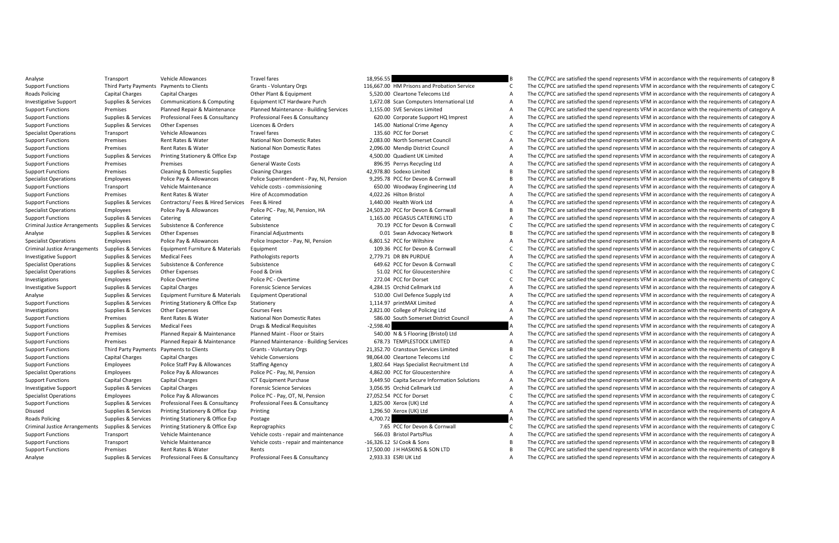Analyse Transport Vehicle Allowances Travel fares 18,956.55 B The CC/PCC are satisfied the spend represents VFM in accordance with the requirements of category Permits Category Transport Category Category Category Category Support Find Party Payments of Clients (States Vientary Organ Hubberton School of The Crient Client of the Crient Client of the Crient of Client Client of the Crient of Client Client of Client Client of Client Client Clien The CC/PCC are satisfied the spend represents VEM in accordance with the requirements of category A Investigative Support Supplies & Services Communications & Computing Equipment ICT Hardware Purch 1.672.08 Scan Computers International Ltd A The CC/PCC are satisfied the spend represents VFM in accordance with the require Support Functions Premises Planned Repair & Maintenance Planned Maintenance Building Services 1,155.00 SVE Services Limited A The CC/PCC are satisfied the spend represents VFM in accordance with the requirements of categor Supplies & Services Professional Fees & Consultancy Professional Fees & Consultancy Professional Fees & Consultancy Consultancy 620.00 Corporate Support HO Imprest A The CC/PCC are satisfied the spend represents VFM in acc Support Functions Supplies Support Support Functions Support Crime Agency A The CC/PC are satisfied the spend represents Orders A The CC/PCC are satisfied the spend represents VFM in accordance with the requirements of cat The CC/PCC are satisfied the spend represents VFM in accordance with the requirements of category C Support Functions Premises Rent Rates Rates Rent Rates Rent Rates 2,083.00 Non Domestic Rates 2,093.00 Non Domestic Rates 2,093.00 Non Domestic Rates 2,093.00 Non Domestic Rates 2,095.00 Non Domestic Rates 2,096.00 Non Dom Support Functions Premises Premises Rent Rates Rates 2,000 Mendip District Council District Council District Council A The CC/PCC are satisfied the spend represents VFM in accordance with the requirements of category A The Support Functions Support Functions Supplies Support Functions Support A The CC/PCC are satisfied the spend represent VFM in accordance with the requirements of category A The CC/PCC are satisfied the spend represents VFM The CC/PCC are satisfied the spend represents VFM in accordance with the requirements of category A Support Functions Cleaning & Domestic Supplies Cleaning Cleaning Cleaning Cleaning Charges Cleaning Charges Accordance and the CC/PCC are satisfied the spend represents VFM in accordance with the requirements of category B The CC/PCC are satisfied the spend represents VFM in accordance with the requirements of category B Support Functions Transport Vehicle Costs - Commissioning - commissioning - commissioning and the CC/PCC are satisfied the spend represents VFM in accordance with the requirements of category A The CC/PCC are satisfied the A The CC/PCC are satisfied the spend represents VEM in accordance with the requirements of category A Support Functions Supplies & Support Functions Supplies Support Contractors/ The Contractors/ Fees and the Support Contractors/ The CC/PCC are satisfied the spend represents VFM in accordance with the requirements of categ The CC/PCC are satisfied the spend represents VEM in accordance with the requirements of category B Support Functions Supplies Services Catering Catering Catering Catering Catering Catering 1,165.00 PEGASUS CATERING LTD A The CC/PCC are satisfied the spend represents VFM in accordance with the requirements of category Ca The CC/PCC are satisfied the spend represents VFM in accordance with the requirements of category C Analyse Supplies & Services Other Expenses Financial Adjustments Other Expenses Financial Adjustments of Category Network B The CC/PCC are satisfied the spend represents VFM in accordance with the requirements of category The CC/PCC are satisfied the spend represents VEM in accordance with the requirements of category A Criminal using the structure of the company of the company of the company of the company of the company of the company of the company of the company of the company of the company of the company of the company of the compan The CC/PCC are satisfied the spend represents VFM in accordance with the requirements of category A Specialist Operations Supplies & Subsistence Supplies Subsistence Subsistence Subsistence Subsistence and Corner and Corner and Corner are spend represent of the COPC are satisfied the spend represents VFM in accordance wi Special Companies Accorditions Companies Food & Services Concessfort Companies Companies Food Accorditions Food Companies Companies Companies Companies Companies Companies Companies Companies Companies Companies Companies Investigations Employees Police Overtime Police PC - Overtime Police PC - Overtime 272.04 PCC for Dorset C The CC/PCC are satisfied the spend represents VFM in accordance with the requirements of category C Investigative Support Supplies & Services Capital Charges Forensic Science Services 4,284.15 Orchid Cellmark Ltd A The CC/PCC are satisfied the spend represents VFM in accordance with the requirements of category A Analyse Supplies & Services Equipment Furniture & Materials Equipment Operational 510.00 Civil Defence Supply Ltd A The CC/PCC are satisfied the spend represents VFM in accordance with the requirements of category A Support Functions Supplies Survices Printing Support Functionery A The Content of the Content of the Content of the Support Functionery A The CC/PCC are satisfied the spend represents VFM in accordance with the requirement Investigations Supplies & Services Other Expenses Courses Fees 2,821.00 College of Policing Ltd A The CC/PCC are satisfied the spend represents VFM in accordance with the requirements of category A Support Functions Premises Premises Rent Rates Rent Rates Mathematic Rates Rent Rates Premises District Council A The CC/PCC are satisfied the spend represents VFM in accordance with the requirements of category A The CC/P The CC/PCC are satisfied the spend represents VFM in accordance with the requirements of category A Support Fund on the man of the man of the man of the man of the man of the compare the compare the compare the official the span end of the content of the compare the equirements of the compare the man of the compare the m Premises Planned Repair & Maintenance Planned Maintenance - Building Services 678.73 TEMPLESTOCK LIMITED A The CC/PCC are satisfied the spend represents VFM in accordance with the requirements of category A Support Functions Third Payments Clients Clients Commissions 21,352.70 Crants Payments Direct Design Functions<br>Support Functions Candid Clients Cranstophy Clients Commissions of the Support of the Support of the Cliente B<br> The CC/PCC are satisfied the spend represents VEM in accordance with the requirements of category C Support Functions Employees Police Staff Pay & Allowances Staffing Agency 1,802.64 Hays Specialist Recruitment Ltd A The CC/PCC are satisfied the spend represents VFM in accordance with the requirements of category A The C The CC/PCC are satisfied the spend represents VEM in accordance with the requirements of category A Support Functions Capital Charges Capital Charges Capital Charges Capital Charges Secure Information Solutions A The CC/PCC are satisfied the spend represents VFM in accordance with the requirements of category A The CC/PC The CC/PCC are satisfied the spend represents VFM in accordance with the requirements of category A Specialist Operations Employees Police Pay & Allowances Police PC-Pay, OT, NI, Pension 27,052.54 PCC for Dorset Category Category C The CC/PCC are satisfied the spend represents VFM in accordance with the requirements of c The CC/PCC are satisfied the spend represents VEM in accordance with the requirements of category A Disued Supplies Services Printing Stationery & Office Exp Printing 1,296.50 Xerox (UK) Ltd A The CC/PCC are satisfied the spend represents VFM in accordance with the requirements of category A The CC/PC are satisfied the s The CC/PCC are satisfied the spend represents VFM in accordance with the requirements of category A Criminal using the services of the profession of the companics of the companication of the companication of the companication of the companication of the companication of the companication of the companication of the compa A The CC/PCC are satisfied the spend represents VEM in accordance with the requirements of category A Support Functions Transport Vehicle Maintenance Vehicle costs - repair and maintenance -16,326.12 SJ Cook & Sons B The CC/PCC are satisfied the spend represents VFM in accordance with the requirements of category B Support Functions Premises Rent Rates & Water Rents Rents Rents Rents 17,500.00 J H HASKINS & SON LTD B The CC/PCC are satisfied the spend represents VFM in accordance with the requirements of category B Analyse Supplies & Services Professional Fees & Consultancy Professional Fees & Consultancy 2,933.33 ESRI UK Ltd A The CC/PCC are satisfied the spend represents VFM in accordance with the requirements of category A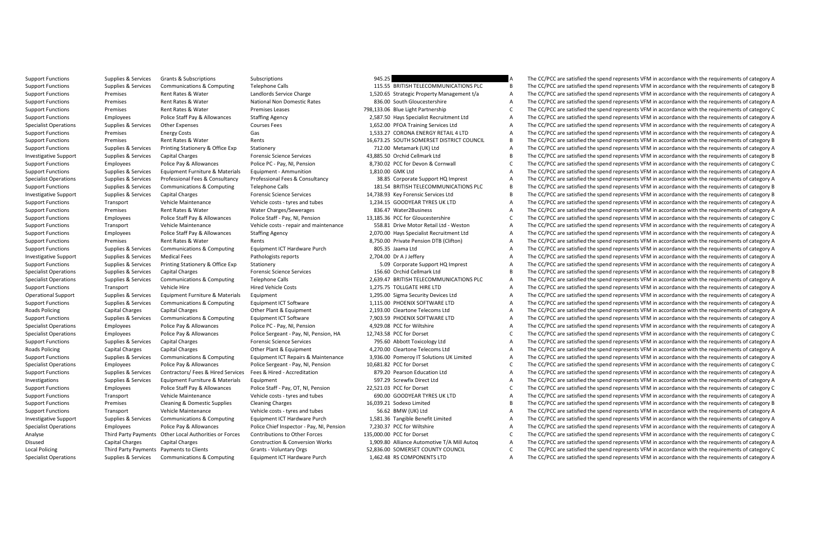Support Functions Supplies Services Grants Grants Support Functions Supplies Support Functions Support Functions Support Functions Support Functions Support Functions Suppliers Schedule Telephone Calls Support And the Supp Support Functions Supplies & Services Communications & Computing Telephone Calls 115.55 BRITISH TELECOMMUNICATIONS PLC B The CC/PCC are satisfied the spend represents VFM in accordance with the requirements of category B The CC/PCC are satisfied the spend represents VEM in accordance with the requirements of category A Support Functions Premises Rent Rates & Water National Non Domestic Rates 836.00 South Gloucestershire A The CC/PCC are satisfied the spend represents VFM in accordance with the requirements of category A Support Functions Premises Premises Rent Rates & Water Premises Leases 798,133.06 Blue Light Partnership C The CC/PCC are satisfied the spend represents VFM in accordance with the requirements of category C Support Functions Employees Police Staff Pay & Allowances Staffing Agency 2,587.50 Hays Specialist Recruitment Ltd A The CC/PCC are satisfied the spend represents VFM in accordance with the requirements of category A Specialist Operations Supplies Services Supplies Supplies Occurses Courses Fees 1,552.00 PFOA Training Services Ltd A The CC/PCC are satisfied the spend represents VFM in accordance with the requirements of category A The The CC/PCC are satisfied the spend represents VFM in accordance with the requirements of category A Support Functions Premises Premises Rent Rates Rents Rent Rates Rent Rates Rent Rates Rent Rents 16,673.25 SOUTH SOMERSET DISTRICT COUNCIL B The CC/PCC are satisfied the spend represents VFM in accordance with the requirem The CC/PCC are satisfied the spend represents VFM in accordance with the requirements of category A Investigative Supplies Services Capital Charges Forensic Capital Charges Services Capital Charges Services Supplies Capital Cellmark Ltd B The CC/PCC are satisfied the spend represents VFM in accordance with the requiremen The CC/PCC are satisfied the spend represents VFM in accordance with the requirements of category C Support Functions Support Functions Supplications Supplications Support Functions Ammuniture Ammuniture Ammuniture Ammuniture and the CC/PCC are satisfied the spend represents VFM in accordance with the requirements of cat Profesional Fees & Consulancy Professional Fees & Consultancy and State State Unit and Consulter and the experiment of the Consulter of the Consulter of the Consulter of the Consulter Consulter Consulter Consulter and rese Support Functions Supplies & Services Communications & Computing Telephone Calls 181.54 BRITISH TELECOMMUNICATIONS PLC B The CC/PCC are satisfied the spend represents VFM in accordance with the requirements of category B<br>I Investigative Support Supplies & Services Capital Charges Forensic Science Services 14,738.93 Key Forensic Services Ltd B The CC/PCC are satisfied the spend represents VFM in accordance with the requirements of category B Support Functions Transport Vehicle Maintenance Vehicle costs-tyres and tubes 1,234.15 GOODYEAR TYRES UK LTD A The CC/PCC are satisfied the spend represents VFM in accordance with the requirements of category A The CC/PC a The CC/PCC are satisfied the spend represents VFM in accordance with the requirements of category A Support Fund in the experiment of the state of the state of the state of the content of the content of the state of the state of the state of the state of the state of the state of the state of the state of the state of th The CC/PCC are satisfied the spend represents VEM in accordance with the requirements of category A Support Functions Employees Police Staff Pay & Allowances Staffing Agency 2,070.00 Hays Specialist Recruitment Ltd A The CC/PCC are satisfied the spend represents VFM in accordance with the requirements of category A The C The CC/PCC are satisfied the spend represents VFM in accordance with the requirements of category A Support Functions Supplies & Survices Communications Category Computing Category A The CC/PCC are satisfied the Support Team Ltd A The CC/PCC are satisfied the spend represents VFM in accordance with the requirements of ca The CC/PCC are satisfied the spend represents VFM in accordance with the requirements of category A Support Functions Supplies Supplies Support Functions Support Functionery Applies Corporate Expendix of the Support HQ Imprest A The CC/PCC are satisfied the spend represents VFM in accordance with the requirements of cate The CC/PCC are satisfied the spend represents VFM in accordance with the requirements of category B Specialist Operations Supplies & Services Communications & Computing Telephone Calls 2,639.47 BRITISH TELECOMMUNICATIONS PLC A The CC/PCC are satisfied the spend represents VFM in accordance with the requirements of catego Support Functions Transport Vehicle Hire Hired Vehicle Costs Hired Vehicle Costs 1,275.75 TOLLGATE HIRE LTD A The CC/PCC are satisfied the spend represents VFM in accordance with the requirements of category A Operational Support Supplies & Services Equipment Furniture & Materials Equipment 1,295.00 Sigma Security Devices Ltd A The CC/PCC are satisfied the spend represents VFM in accordance with the requirements of category A Support Functions Supplies Supplications Support Functions Support Computing Equipment ICT Software 1,115.00 PHOENIX SOFTWARE LTD A The CC/PCC are satisfied the spend represents VFM in accordance with the requirements of c Roads Policing Capital Charges Capital Charges Other Plant & Equipment 2,193.00 Cleartone Telecoms Ltd A The CC/PCC are satisfied the spend represents VFM in accordance with the requirements of category A Support Functions Supplies & Services Communications Supplications Category A Services Computing ICT Software 7,903.59 PHOENIX SOFTWARE LTD A The CC/PCC are satisfied the spend represents VFM in accordance with the require The CC/PCC are satisfied the spend represents VFM in accordance with the requirements of category A Specialist Operations Employees Police Pay & Allowances Police Sergeant - Pay, NI, Pension, HA 12,743.58 PCC for Dorset Category Category Category Category Category Category Category Category Category Category Category Cat Support Functions Supplies & Services Capital Charges Forensic Science Services 795.60 Abbott Toxicology Ltd A The CC/PCC are satisfied the spend represents VFM in accordance with the requirements of category A Roads Policing Capital Charges Capital Charges Capital Charges Capital Charges Other Plant A Charges Capital Charges Ltd A The CC/PCC are satisfied the spend represents VFM in accordance with the requirements of category A The CC/PCC are satisfied the spend represents VEM in accordance with the requirements of category A Specialist Operations Employees Police Pay & Allowances Pay Allowances Pay, NI, Pension 10,681.82 PCC for Dorset Confects Category Category Category And the Specialist Category Category Category Category Category Category 879.20 Pearson Education Ltd **A** The CC/PCC are satisfied the spend represents VFM in accordance with the requirements of category A<br>A The CC/PCC are satisfied the soend represents VFM in accordance with the requirements o Investigations Supplies & Services Equipment Furniture & Materials Equipment Furniture & Materials Direct Ltd A The CC/PCC are satisfied the spend represents VFM in accordance with the requirements of category Category A T The CC/PCC are satisfied the spend represents VEM in accordance with the requirements of category C Support Functions Transport Vehicle Maintenance Vehicle costs - tyres and tubes - tyres and tubes - the CC/PCC are support Controlled the spend represents VFM in accordance with the requirements of category A The CC/PCC ar The CC/PCC are satisfied the spend represents VFM in accordance with the requirements of category B Support Functions Transport Vehicle Maintenance Vehicle costs - tyres and tubes - tyres and tubes - tyres and tubes - tyres and the CC/PCC are satisfied the spend represents VFM in accordance with the requirements of categ The CC/PCC are satisfied the spend represents VEM in accordance with the requirements of category A Specialist Decrements of the environment of the Control of the Control of the Control of the Control of the Control of the Control of the Control of the Control of the Control of the Control of the Control of the Control o The CC/PCC are satisfied the spend represents VFM in accordance with the requirements of category C Disused Capital Charges Capital Charges Construction & Conversion Works 1,909.80 Alliance Automotive T/A Mill Autoq A The CC/PCC are satisfied the spend represents VFM in accordance with the requirements of category A Local Policing Third Party Payments Payments to Clients Grants - Voluntary Orgs 52,836.00 SOMERSET COUNTY COUNCIL C The CC/PCC are satisfied the spend represents VFM in accordance with the requirements of category C Supplies & Services Communications & Computing Equipment ICT Hardware Purch 1.462.48 RS COMPONENTS LTD A The CC/PCC are satisfied the spend represents VFM in accordance with the requirements of category A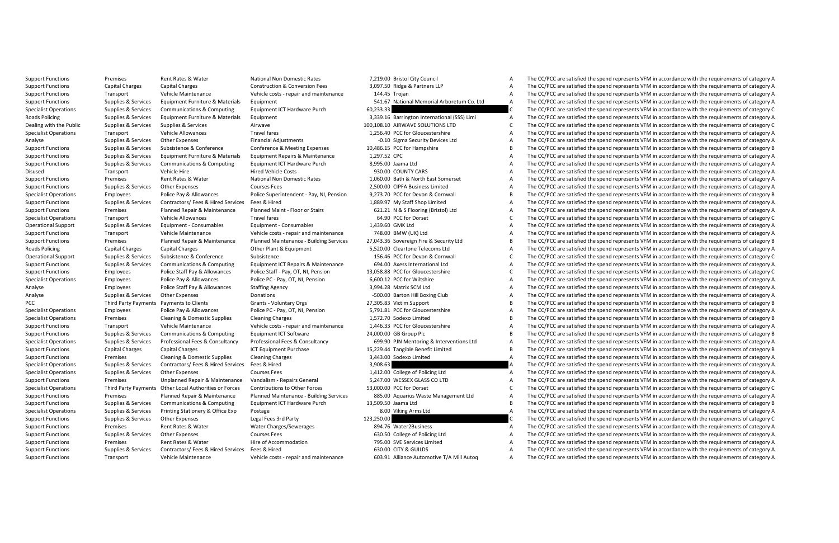Support Functions Premises Rent Rates Rent Rates Rent Rates Rent Rates Premises Premises Premises A The CC/PCC are satisfied the spend represents VFM in accordance with the requirements of category A The CC/PCC are satisfi Support Functions Capital Charges Capital Charges Construction & Conversion Fees 3,097.50 Ridge & Partners LLP<br>Support Functions Capital Charges Conversion Construction Conversion Tatal A The Conversion Charges A The COPCC The CC/PCC are satisfied the spend represents VEM in accordance with the requirements of category A Support Functions Supplies Survices Equipment Furniture & Materials Equipment Functions (Support Functions Support Functions Arboretum Co. Ltd A The CC/PCC are satisfied the spend represents VFM in accordance with the requ Specialist Operations Supplies & Services Communications & Computing Equipment ICT Hardware Purch 60,233.33 C The CC/PCC are satisfied the spend represents VFM in accordance with the requirements of category C Roads Policing Supplies & Services Equipment Furniture & Materials Equipment 3,339.16 Barrington International (SSS) Limi A The CC/PCC are satisfied the spend represents VFM in accordance with the requirements of category Dealing with the Public Supplies & Supplies Airwave Supplies Supplies Supplies Airwave 100,008.10 AIRCONS LTD CONTIONS LTD CONTIONS LTD CONTIONS LTD CONTIONS LTD CONTIONS LTD CONTIONS AREA AIRCONS AND ARROR ARROR CONTIONS The CC/PCC are satisfied the spend represents VFM in accordance with the requirements of category A Analyse Supplies Supplies Supplies Supplies Supplies Category -0.10 Sigma Security Devices Ltd A The CC/PCC are satisfied the spend represents VFM in accordance with the requirements of category A The CC/PCC are satisfied The CC/PCC are satisfied the spend represents VFM in accordance with the requirements of category B Support Functions Supplies Services Equipment Functions Support Functions (1,297.52 CPC are all the contenance 1,297.52 CPC A The CC/PCC are satisfied the spend represents VFM in accordance with the requirements of categor The CC/PCC are satisfied the spend represents VFM in accordance with the requirements of category A Disused Transport Vehicle Hire Hired Vehicle Costs 930.00 COUNTYCARS A The CC/PCC are satisfied the spend represents VFM in accordance with the requirements of category A The CC/PCC are atterned and process of category A T A The CC/PCC are satisfied the spend represents VFM in accordance with the requirements of category A Support Functions Supplies Services Courses Fees 2,0000 CIPFA Business Limited A The CC/PCC are satisfied the spend represents VFM in accordance with the requirements of category A The CC/PC are spend represents Courses Fe The CC/PCC are satisfied the spend represents VEM in accordance with the requirements of category B Support Functions Supplies & Services Contractors/ Fees & Hired Services Fees & Hired Services Feest A The CC/PCC are satisfied the spend represents VFM in accordance with the requirements of category A The CC/PC are satis The CC/PCC are satisfied the spend represents VEM in accordance with the requirements of category A Specialist Operations Transport Vehicle Allowances Travel fares Travel fares to the CC/PCC for Dorset Companies Companies Category Category Category Category Category Category Category Category Category Category Category C The CC/PCC are satisfied the spend represents VEM in accordance with the requirements of category A Support Functions Transport Vehicle Maintenance Vehicle costs - repair admaintenance 710.8.00 BMW (UK) Ltd A The CC/PCC are satisfied the spend represents VFM in accordance with the requirements of category A The CC/PC are 7,043.36 Sovereign Fire & Security Ltd **Examples**<br>Examples of the CC/PCC are satisfied the spend represents VFM in accordance with the requirements of category B<br>Example Cleartone Telecomes Itd Roads Policing Capital Charges Capital Charges Capital Charges Capital Charges Other Plant Charges Capital Charges Ltd A The CC/PCC are satisfied the spend represents VFM in accordance with the requirements of category Cha The CC/PCC are satisfied the spend represents VFM in accordance with the requirements of category C Support Equipmentations and the equipmentations of the computing tequinent intervents and the expect the computation of the equipmentation of the equipmentation of the equipment of the equipment of the equipment of the equ The CC/PCC are satisfied the spend represents VEM in accordance with the requirements of category C Specialist Operations Employees Police Pay & Allowances Police PC - Pay, OT, NI, Pension 6,600.12 PCC for Wiltshire A The CC/PCC are satisfied the spend represents VFM in accordance with the requirements of category A Analyse Employees Police Staff Pay & Allowances Staffing Agency 3,994.28 Matrix SCM Ltd A The CC/PCC are satisfied the spend represents VFM in accordance with the requirements of category A Analyse Supplies & Services Other Expenses Donations Donations -500.00 Barton Hill Boxing Club A The CC/PCC are satisfied the spend represents VFM in accordance with the requirements of category A PCC Third Party Payments Payments to Clients Grants - Voluntary Orgs 27,305.83 Victim Support B The CC/PCC are satisfied the spend represents VFM in accordance with the requirements of category B<br>Specialist Operations Empl Employees Police Pay & Allowances Police PC - Pay, OT, NI, Pension 5,791.81 PCC for Gloucestershire A The CC/PCC are satisfied the spend represents VFM in accordance with the requirements of category A Specialist Operations Premises Cleaning Domestic Supplies Cleaning Charges Cleaning Charges Cleaning Charges 1,463.72.70 Sodetocleaning Domestic Supplies Cleaning Domestic Supplies Cleaning Charges 1,463.72.70 Societies an The CC/PCC are satisfied the spend represents VFM in accordance with the requirements of category A Support Functions Supplies & Services Computiations & Computing Equipment ICT Software 24,000 GB Group Plc B Group Plc B The CC/PCC are satisfied the spend represents VFM in accordance with the requirements of category A C Supplies & Services Professional Fees & Consultancy Professional Fees & Consultancy Professional Fees & Consultancy Professional Fees & Consultancy Consultancy Consultancy 699.90 PJN Mentoring & Interventions Ltd A The CC/ Support Functions Capital Charges Capital Charges Capital Charges ISL229.44 Tangible Benefit Limited B The CC/PCC are satisfied the spend represents VFM in accordance with the requirements of category B in accordance with The CC/PCC are satisfied the spend represents VFM in accordance with the requirements of category A Specialist Operations Supplies & Services Contractors/ Fees & Hired Services Fees & Hired Services Fees & Hired 3,908.63 A The CC/PCC are satisfied the spend represents VFM in accordance with the requirements of category A A The CC/PCC are satisfied the spend represents VEM in accordance with the requirements of category A Support Functions Premises Unplanned Repair Repair Amaintenance Vandalism - Repairs General Support Control of the Support Functions A The CC/PCC are satisfied the spend represents VFM in accordance with the requirements o The CC/PCC are satisfied the spend represents VEM in accordance with the requirements of category C Support Fund in the main of the main of the main of the control of the control of the control of the control of the control of the control of the control of the control of the control of the control of the control of the c The CC/PCC are satisfied the spend represents VEM in accordance with the requirements of category B Specialist Operations Supplies Supplies Operations Supplies Supplies Category Arms Ltd A The CC/PCC are satisfied the Specialist Operations Supplies A The Services Printing Statisfied the Services Arms Ltd A The CC/PCC are The CC/PCC are satisfied the spend represents VFM in accordance with the requirements of category C Support Functions Premises Rent Rates Water Water Charges/Sewerages 894.76 Water A The CC/PCC are satisfied the spend represents A The CC/PCC are satisfied the spend represents VFM in accordance with the requirements of ca A The CC/PCC are satisfied the spend represents VFM in accordance with the requirements of category A Support Functions Premises Rent Rates & Water Hire of Accommodation 795.00 SVE Services Limited A The CC/PCC are satisfied the spend represents VFM in accordance with the requirements of category A Support Functions Supplies & Services Contractors/ Fees & Hired Services Fees & Hired Fees & Hired 630.00 CITY & GUILDS A The CC/PCC are satisfied the spend represents VFM in accordance with the requirements of category A Support Functions Transport Vehicle Maintenance Vehicle costs - repair and maintenance 603.91 Alliance Automotive T/A Mill Autog A The CC/PCC are satisfied the spend represents VFM in accordance with the requirements of ca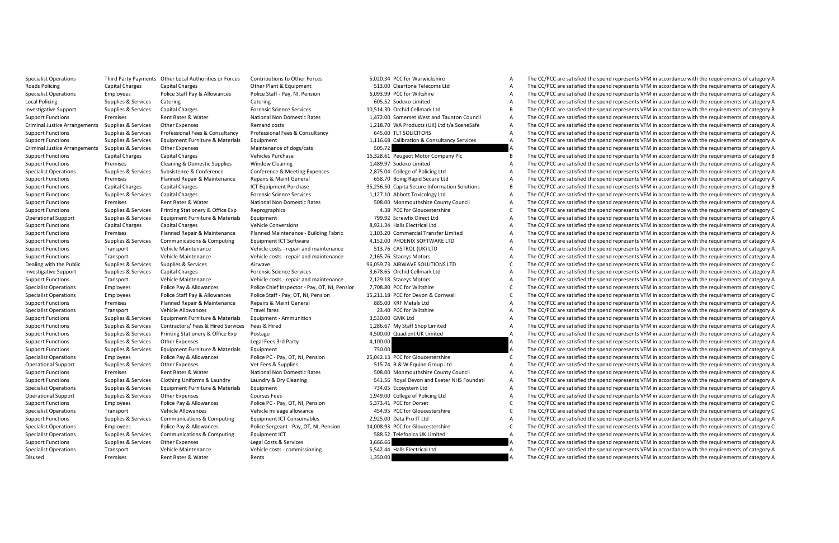|          | 5,020.34 PCC for Warwickshire                 |
|----------|-----------------------------------------------|
|          | 513.00 Cleartone Telecoms Ltd                 |
|          | 6.093.99 PCC for Wiltshire                    |
|          | 605.52 Sodexo Limited                         |
|          | 10.514.30 Orchid Cellmark Ltd                 |
|          | 1,472.00 Somerset West and Taunton Council    |
|          | 1,218.70 WA Products (UK) Ltd t/a SceneSafe   |
|          | 645.00 TLT SOLICITORS                         |
|          | 1,116.68 Calibration & Consultancy Services   |
| 505.72   |                                               |
|          | 16,328.61 Peugeot Motor Company Plc           |
|          | 1,489.97 Sodexo Limited                       |
|          | 2,875.04 College of Policing Ltd              |
|          | 658.70 Boing Rapid Secure Ltd                 |
|          | 35,256.50 Capita Secure Information Solutions |
|          | 1,127.10 Abbott Toxicology Ltd                |
|          | 508.00 Monmouthshire County Council           |
|          | 4.38 PCC for Gloucestershire                  |
|          | 799.92 Screwfix Direct Ltd                    |
|          | 8,921.34 Halls Electrical Ltd                 |
|          | 1,103.20 Commercial Transfer Limited          |
|          | 4,152.00 PHOENIX SOFTWARE LTD                 |
|          | 513.76 CASTROL (UK) LTD                       |
|          | 2,165.76 Staceys Motors                       |
|          | 96,059.73 AIRWAVE SOLUTIONS LTD               |
|          | 3,678.65 Orchid Cellmark Ltd                  |
|          | 2,129.18 Staceys Motors                       |
|          | 7,708.80 PCC for Wiltshire                    |
|          | 15.211.18 PCC for Devon & Cornwall            |
|          | 885.00 KRF Metals Ltd                         |
|          | 23.40 PCC for Wiltshire                       |
|          | 3,530.00 GMK Ltd                              |
|          | 1,286.67 My Staff Shop Limited                |
|          | 4,500.00 Quadient UK Limited                  |
| 4,100.00 |                                               |
| 750.00   |                                               |
|          | 25.042.13 PCC for Gloucestershire             |
|          | 515.74 B & W Equine Group Ltd                 |
|          | 508.00 Monmouthshire County Council           |
|          | 541.56 Royal Devon and Exeter NHS Foundati    |
|          | 734.05 Ecosystem Ltd                          |
|          | 1,949.00 College of Policing Ltd              |
|          | 5,373.41 PCC for Dorset                       |
|          | 454.95 PCC for Gloucestershire                |
|          | 2,925.00 Data Pro IT Ltd                      |
|          | 14,008.93 PCC for Gloucestershire             |
|          | 588.52 Telefonica UK Limited                  |
| 3,666.66 |                                               |
|          | 5,542.44 Halls Electrical Ltd                 |
| 2.25000  |                                               |

Specialist Operations Third Party Payments Other Incal Authorities or Forces Contributions to Other Forces 5,000.34 PCC for Warwickshire A The CC/PCC are satisfied the spend represents VEM in accordance with the requiremen Roads Policing Capital Charges Capital Charges Charges Charges Other Plant Charges Capital Charges Cleartone Telecoms Ltd A The CC/PCC are satisfied the spend represents VFM in accordance with the requirements of category The CC/PCC are satisfied the spend represents VEM in accordance with the requirements of category A Local Policing Supplies & Services Catering Catering Catering Catering Catering Catering Catering Catering Catering Constant Constant Constant Constant A The CC/PCC are satisfied the spend represents VFM in accordance with Investigative Support Supplies & Services Capital Charges Forensic Science Services Forensic Science Services 10,514.30 Orchid Cellmark Ltd B The CC/PCC are satisfied the spend represents VFM in accordance with the require Support Functions Premises Rent Rates & Water National Non Domestic Rates 1,472.00 Somerset West and Taunton Council A The CC/PCC are satisfied the spend represents VFM in accordance with the requirements of category A Criminal Justice Arrangements Supplies & Services Other Expenses Remand costs 1,218.70 WA Products (UK) Ltd t/a SceneSafe A The CC/PCC are satisfied the spend represents VFM in accordance with the requirements of category A The CC/PCC are satisfied the spend represents VFM in accordance with the requirements of category A Support Equipment in the control of the expert of the service of the control of the control of the control of the control of the control of the control of the control of the control of the control of the control of the con The CC/PCC are satisfied the spend represents VFM in accordance with the requirements of category A Support Functions Capital Charges Capital Charges Capital Charges Vehicles Purchase 16,328.61 Peugeot Motor Company Plc B The CC/PCC are satisfied the spend represents VFM in accordance with the requirements of category B<br> The CC/PCC are satisfied the spend represents VFM in accordance with the requirements of category A Noting the man of the man of the man of the man of the man of the common of the common spaces of the common spaces of the common spaces of the common spaces of the common spaces of the common spaces of the common spaces of A The CC/PCC are satisfied the spend represents VFM in accordance with the requirements of category A Support Functions Capital Charges Capital Charges ICT Equipment Purchase 35,256.50 Capital Secure Information Solutions B The CC/PCC are satisfied the spend represents VFM in accordance with the requirements of category B Support Functions Supplies & Services Capital Charges Forensic Science Services 1,127.10 Abbott Toxicology Ltd A The CC/PCC are satisfied the spend represents VFM in accordance with the requirements of category A Support Functions Premises Rent Rates Water National Non Domestic Rates 508.00 Monmouthshire County Council A The CC/PCC are satisfied the spend represents VFM in accordance with the requirements of category A The CC/PCC a The CC/PCC are satisfied the spend represents VFM in accordance with the requirements of category C Operational Support Support Support Equipment Furniture & Materials Equipment Furniture and the COPC are subsect Ltd A The CC/PCC are satisfied the spend represents VFM in accordance with the requirements of category A The The CC/PCC are satisfied the spend represents VEM in accordance with the requirements of category A Support Fund and the community of the community of the community of the community of the community of the community of the community of the community of the community of the community of the community of the community of t The CC/PCC are satisfied the spend represents VFM in accordance with the requirements of category A Support Functions Transport Vehicle Maintenance Vehicle costs repair and maintenance 513.76 CASTROL (UK) LTD A The CC/PCC are satisfied the spend represents VFM in accordance with the requirements of category A The CC/PC a The CC/PCC are satisfied the spend represents VFM in accordance with the requirements of category A Dealing with the Public Supplies Supplies Supplies Supplies Supplies Supplies Supplies and the CC/PC are satisfied the Supplies Supplies and the CC/PC are satisfied the spend represents VFM in accordance with the requireme The CC/PCC are satisfied the spend represents VFM in accordance with the requirements of category A Support Functions Transport Vehicle Maintenance Vehicle costs - repair and maintenance 2,129.18 Staceys Motors A The CC/PCC are satisfied the spend represents VFM in accordance with the requirements of category A Specialist Operations Employees Police Pay & Allowances Police Chief Inspector - Pay, OT, NI, Pensior 7,708.80 PCC for Wiltshire C The CC/PCC are satisfied the spend represents VFM in accordance with the requirements of ca Specialist Operations Employees Police Staff Pay & Allowances Police Staff - Pay, OT, NI, Pension 15,211.18 PCC for Devon & Cornwall C The CC/PCC are satisfied the spend represents VFM in accordance with the requirements o Support Functions Premises Planned Repairs Planned Repairs Repairs A The CC/PC are a Maint General 885.00 KRF Metals Ltd A The CC/PCC are satisfied the spend repairs of category A The CC/PC in accordance with the requireme Specialist Operations Transport Vehicle Allowances Travel fares Travel fares 23.40 PCC for Wiltshire A The CC/PCC are satisfied the spend represents VFM in accordance with the requirements of category A Support Functions Supplies Services Equipment Furniture & Materials Equipment - Ammunition 3,530.00 GMK Ltd A The CC/PCC are satisfied the spend represents VFM in accordance with the requirements of category A The CC/PCC a The CC/PCC are satisfied the spend represents VFM in accordance with the requirements of category A Support Functions Supplies & Services Printing Stationery & Office Exp Postage Printing and a The COV Cuadient UK Limited A The CC/PCC are satisfied the spend represents VFM in accordance with the requirements of category Support Functions Supplies & Services Other Expenses Legal Fees 3rd Party 4,100.00 4,100.00 A The CC/PCC are satisfied the spend represents VFM in accordance with the requirements of category A Support Functions Supplies Services Equipment Functions Support Functions Support Functions Support Functions A The COC/PCC are satisfied the spend represents VFM in accordance with the requirements of category A The COC a  $C =$  The CC/PCC are satisfied the spend represents VEM in accordance with the requirements of category C Operational Support Support Support Support Supplies Operational Supplies Other Expenses Vet Fees & Supplies Supplies Category A The CC/PCC are satisfied the spend represents VFM in accordance with the requirements of cate The CC/PCC are satisfied the spend represents VFM in accordance with the requirements of category A Support Fundation of the structure of the structure of the structure of the structure of the structure of the structure of the structure of the structure of the structure of the structure of the structure of the structure The CC/PCC are satisfied the spend represents VEM in accordance with the requirements of category A Operational Support Supplies Services Courses Fees 1,949.00 Courses Fees 1,949.00 Courses Fees 1,949.00 College of Policing Ltd A The CC/PCC are satisfied the spend represents VFM in accordance with the requirements of cat The CC/PCC are satisfied the spend represents VEM in accordance with the requirements of category C Specialist Operations Transport Vehicle Allowances Vehicle mileage allowance and the CC/PCC are satisfied the CC/PCC are satisfied the spend represents VFM in accordance with the requirements of category C The CC/PCC are s The CC/PCC are satisfied the spend represents VFM in accordance with the requirements of category A Specialst Dera Employees Police Pay & Allowances Police Sergent Pay, OT, NJ, Pension 14,003.9 PCC includes the Special Concelled the Special Concelled the Special Concelled the Special Concelled the Concelled Categroup of The CC/PCC are satisfied the spend represents VFM in accordance with the requirements of category A Support Functions Supplies & Services Other Expenses Legal Costs & Services 3,666.66 A The CC/PCC are satisfied the spend represents VFM in accordance with the requirements of category A Specialist Operations Transport Vehicle Maintenance Vehicle costs - commissioning 5,542.44 Halls Electrical Ltd A The CC/PCC are satisfied the spend represents VFM in accordance with the requirements of category A Disused Premises Rent Rates & Water Rents Rents Rents Rents 1,350.00 A The CC/PCC are satisfied the spend represents VFM in accordance with the requirements of category A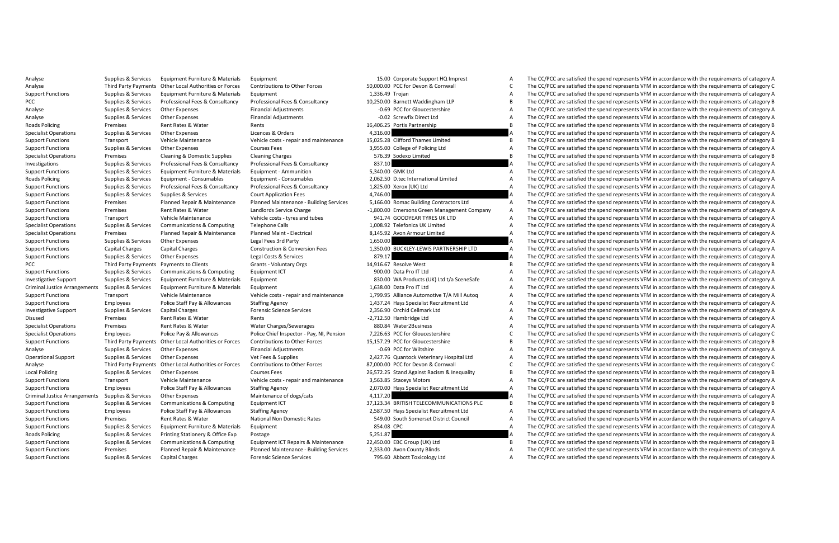|                 | 15.00 Corporate Support HQ Imprest          |
|-----------------|---------------------------------------------|
|                 | 50,000.00 PCC for Devon & Cornwall          |
| 1,336.49 Trojan |                                             |
|                 | 10.250.00 Barnett Waddingham LLP            |
|                 | -0.69 PCC for Gloucestershire               |
|                 | -0.02 Screwfix Direct Ltd                   |
|                 | 16.406.25 Portis Partnership                |
| 4,316.00        |                                             |
|                 | 15,025.28 Clifford Thames Limited           |
|                 | 3,955.00 College of Policing Ltd            |
|                 | 576.39 Sodexo Limited                       |
| 837.10          |                                             |
|                 | 5.340.00 GMK Ltd                            |
|                 | 2,062.50 D.tec International Limited        |
|                 | 1,825.00 Xerox (UK) Ltd                     |
| 4,746.00        |                                             |
|                 | 5,166.00 Romac Building Contractors Ltd     |
|                 | -1,800.00 Emersons Green Management Company |
|                 | 941.74 GOODYEAR TYRES UK LTD                |
|                 | 1.008.92 Telefonica UK Limited              |
|                 | 8,145.92 Avon Armour Limited                |
| 1.650.00        |                                             |
|                 | 1,350.00 BUCKLEY-LEWIS PARTNERSHIP LTD      |
| 879.17          |                                             |
|                 | 14,916.67 Resolve West                      |
|                 | 900.00 Data Pro IT Ltd                      |
|                 | 830.00 WA Products (UK) Ltd t/a SceneSafe   |
|                 | 1.638.00 Data Pro IT Ltd                    |
|                 | 1,799.95 Alliance Automotive T/A Mill Autog |
|                 | 1,437.24 Hays Specialist Recruitment Ltd    |
|                 | 2.356.90 Orchid Cellmark Ltd                |
|                 | -2,712.50 Hambridge Ltd                     |
|                 | 880.84 Water2Business                       |
|                 | 7.226.63 PCC for Gloucestershire            |
|                 | 15,157.29 PCC for Gloucestershire           |
|                 | -0.69 PCC for Wiltshire                     |
|                 | 2,427.76 Quantock Veterinary Hospital Ltd   |
|                 | 87,000.00 PCC for Devon & Cornwall          |
|                 | 26,572.25 Stand Against Racism & Inequality |
|                 | 3,563.85 Staceys Motors                     |
|                 | 2,070.00 Hays Specialist Recruitment Ltd    |
| 4,117.20        |                                             |
|                 | 37,123.34 BRITISH TELECOMMUNICATIONS PLC    |
|                 | 2,587.50 Hays Specialist Recruitment Ltd    |
|                 | 549.00 South Somerset District Council      |
| 854.08 CPC      |                                             |
| 5,251.87        |                                             |
|                 | 22,450.00 EBC Group (UK) Ltd                |
|                 | 2,333.00 Avon County Blinds                 |
|                 |                                             |

Analyse Supplies & Services Equipment Euroliture & Materials Equipment 15.00 Corporate Support HQ Imprest A The CC/PCC are satisfied the spend represents VFM in accordance with the requirements of category A Analyse Third Party Payments Other Educations of Controllers of Annual Community Community of the Community of the Community of the Community of the Community of the Community of the Community of the Community of the Commu A The CC/PCC are satisfied the spend represents VEM in accordance with the requirements of category A PCC Supplies & Services Professional Fees & Consultancy Professional Fees & Consultancy 10,250.00 Barnett Waddingham LLP B The CC/PCC are satisfied the spend represents VFM in accordance with the requirements of category B Analyse Supplies & Services Other Expenses Financial Adjustments -0.69 PCC for Gloucestershire -0.69 PCC for Gloucestershire A The CC/PCC are satisfied the spend represents VFM in accordance with the requirements of catego Analyse Supplies & Services Other Expenses Financial Adjustments -0.02 Screwfix Direct Ltd A The CC/PCC are satisfied the spend represents VFM in accordance with the requirements of category A Roads Policing Premises Rent Rates Rents Rents Rents 16,406.25 Portis Partnership B The CC/PCC are satisfied the spend represents VFM in accordance with the requirements of category B in accordance with the requirements of The CC/PCC are satisfied the spend represents VFM in accordance with the requirements of category A Support Functions Transport Vehicle Costs repair and maintenance 15,025.28 Clifford Thames Limited Thames Limited Thames Limited The CC/PCC are satisfied the spend represents VFM in accordance with the requirements of cate A The CC/PCC are satisfied the spend represents VFM in accordance with the requirements of category A Specialist Operations Premises Cleaning Domestic Supplies Cleaning Charges Cleaning Charges Cleaning Charges Charges Charges Cleaning Charges Cleaning Charges Cleaning Domestic Supplies Control at the Conditional B The CC/ The CC/PCC are satisfied the spend represents VFM in accordance with the requirements of category A Support Functions Supplies Services Equipment Functional Equipment - Ammunition 5,040.00 GMK Ltd A The CONC are satisfied the spend represents VFM in accordance with the requirements of category A The CONC are satisfied th The CC/PCC are satisfied the spend represents VFM in accordance with the requirements of category A Support Engine & Structure Professional Fers & Consultance Category From the Consultance of Category of the Consultance of the Consultance of the Consultance of the Consultance of the Consultance of the Consultance of the Support Function Services Court Application Fees 4,746.00 A The CC/PCC are satisfied the spend represents VFM in accordance with the requirements of category A Support Fund and the premises and the manufacture compare entitles and the entity of the comparably the end of the end of the end of the end of the end of the end of the end of the end of the end of the end of the end the The CC/PCC are satisfied the spend represents VFM in accordance with the requirements of category A Support Functions Transport Vehicle Maintenance Vehicle Costs - tyres and tubes - tyres and tubes - tyres and tubes - tyres and tubes - tyres and tubes - tyres and tubes - tyres and tubes - tyres and tubes - tyres and tube The CC/PCC are satisfied the spend represents VFM in accordance with the requirements of category A Specialist Operations Premises Planned Repair & Maintenance Planned Maint - Electrical 8,145.92 Avon Armour Limited A The CC/PCC are satisfied the spend represents VFM in accordance with the requirements of category A The The CC/PCC are satisfied the spend represents VFM in accordance with the requirements of category A Support Functions Capital Charges Construction & Conversion Fees 1,350.00 BUCKLEY-LEWIS PARTNERSHIP LTD A The CC/PCC are satisfied the spend represents VFM in accordance with the requirements of category A The CC/PCC are s The CC/PCC are satisfied the spend represents VFM in accordance with the requirements of category A PCC Third Payments Payments Payments Clients - Voluntary Orgs 14,916.67 Resolve West B The CC/PCC are satisfied the spend represents VFM in accordance with the requirements of category B in accordance with the requirements The CC/PCC are satisfied the spend represents VEM in accordance with the requirements of category A Investigative Support Supplies & Services Equipment Furniture & Materials Equipment Eurity Equipment Culterials Equipment Culterials Equipment Culterials Supplies & Services (UK) Ltd t/a SceneSafe A The CC/PCC are satisfie Criminal Justice Arrangements Supplies & Services Equipment Furniture & Materials Equipment 1,638.00 Data Pro IT Ltd A The CC/PCC are satisfied the spend represents VFM in accordance with the requirements of category A Support Functions Transport Vehicle Maintenance Vehicle costs - repair and maintenance 1.799.95 Alliance Automotive T/A Mill Auton A The CC/PCC are satisfied the spend represents VFM in accordance with the requirements of Support Functions Employees Police Staff Pay Allowances Staffing Agency 1,437.24 Hays Specialist Recruitment Ltd A The CC/PCC are satisfied the spend represents VFM in accordance with the requirements of category A The CC/ Investigative Support Supplies & Services Capital Charges Forensic Science Services 2,356.90 Orchid Cellmark Ltd A The CC/PCC are satisfied the spend represents VFM in accordance with the requirements of category A Disused Premises Premises Rent Rates Rents -2,712.50 Hambridge Ltd A The CC/PCC are satisfied the spend represents VFM in accordance with the requirements of category A The CC/PCC are satisfied the spend represents VFM in The CC/PCC are satisfied the spend represents VFM in accordance with the requirements of category A Specialist Specific Law and Manager of the Consect of the Consect of the Consect of the Consect of the Consect of the Consect of the Consect of the Consect of the Consect of the Consect of the Consect of the Consect of the Support Functions Third Party Payments Other Local Authorities or Forces Contributions to Other Forces states of the Forces of the Forces (Contributions to Other Forces 15.157.29 PCC for Gloucestershire B The CC/PCC are sa Analyse Supplies Services Other Expenses Financial Adjustments -0.69 PCC for Wiltshire A The CC/PCC are satisfied the spend represents VFM in accordance with the requirements of category A The CC/PCC are satisfied the spen The CC/PCC are satisfied the spend represents VEM in accordance with the requirements of category A Analyse Third Party Payments Other Educations (Controller Section of Annual Section of the Controller Section of the Controller Section of the Controller Section of the Controller Section of the Controller Section of the C The CC/PCC are satisfied the spend represents VFM in accordance with the requirements of category B Support Functions Transport Vehicle Maintenance Vehicle costs - repair and maintenance 3,563.85 Staceys Motors A The CC/PCC are satisfied the spend represents VFM in accordance with the requirements of category A The CC/PC The CC/PCC are satisfied the spend represents VFM in accordance with the requirements of category A Criminal Justice Arrangements Supplies Supplies Criminal Justices Other Expenditus Arrangements of descriptions and the Services A The CC/PCC are satisfied the spend represents VFM in accordance with the requirements of ca The CC/PCC are satisfied the spend represents VFM in accordance with the requirements of category B Support Functions Employees Police Staff Pay & Allowances Staffing Agency 2,587.50 HaySpecialist Recruitment Ltd A The CC/PCC are satisfied the spend represents VFM in accordance with the requirements of category A The CC/ The CC/PCC are satisfied the spend represents VFM in accordance with the requirements of category A Support Functions Supplies Equipment Functions Supplications Support Equipment Equipment Equipment Functions Equipment Support Functions Support Functions Supplies Equipment of category A The CC/PCC are satisfied the spend Postage 5,251.87 A The CC/PCC are satisfied the spend represents VFM in accordance with the requirements of category A Supplies & Services Communications & Computing Equipment ICT Repairs & Maintenance 22.450.00 EBC Group (UK) Ltd B The CC/PCC are satisfied the spend represents VFM in accordance with the requirements of category B Support Functions Premises Planned Repair & Maintenance Planned Maintenance Building Services 2,333.00 Avon County Blinds Avon County Blinds Avon County Blinds Are the CC/PCC are satisfied the spend represents VFM in accor Support Functions Supplies & Services Capital Charges Forensic Science Services 795.60 Abbott Toxicology Ltd A The CC/PCC are satisfied the spend represents VFM in accordance with the requirements of category A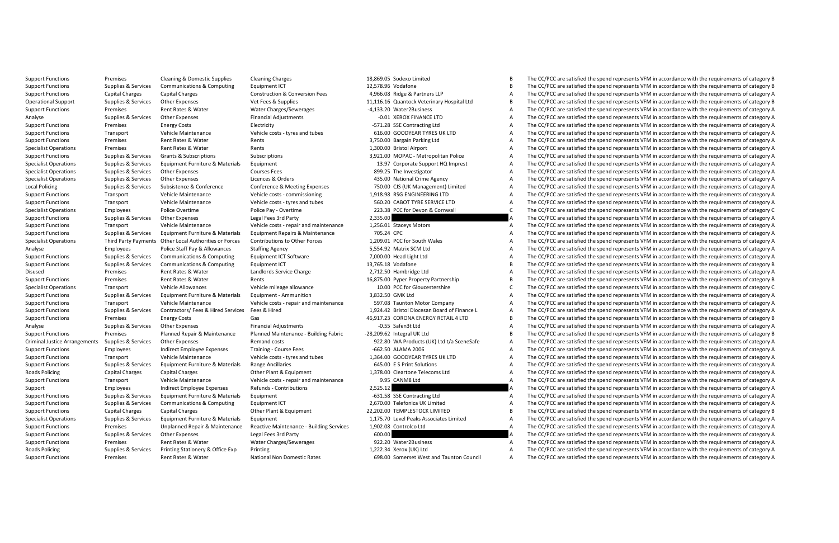Support Functions Premises Cleaning & Domestic Supplies Cleaning Charges 18,869.05 Sodexo Limited B The CC/PCC are satisfied the spend represents VFM in accordance with the requirements of category B Support Functions Supplies Support Functions Support Functions Category Equipment ICT 12,7896 Vodafone and the Support Functions Support Functions Category B The CC/PCC are satisfied the spend represents VFM in accordance The CC/PCC are satisfied the spend represents VEM in accordance with the requirements of category A Operational Support Supplies & Services Other Expenses Vet Fees & Supplies 11,116.16 Quantock Veterinary Hospital Ltd B The CC/PCC are satisfied the spend represents VFM in accordance with the requirements of category B Support Functions Premises Rent Rates & Water Water Charges/Sewerages -4,133.20 Water2Business -4,133.20 Water A The CC/PCC are satisfied the spend represents VFM in accordance with the requirements of category A Analyse Supplies & Services Other Expenses Financial Adjustments -0.01 XEROX FINANCE LTD A The CC/PCC are satisfied the spend represents VFM in accordance with the requirements of category A Support Functions Premises Energy Costs Electricity -571.28 SSE Contracting Ltd A The CC/PCC are satisfied the spend represents VFM in accordance with the requirements of category A The CC/PCC are satisfied the spend repre The CC/PCC are satisfied the spend represents VFM in accordance with the requirements of category A Support Functions Premises Rent Rates Water Rents 3,750.00 Bargain Parking Ltd A The CC/PCC are satisfied the spend represents VFM in accordance with the requirements of category A The A The CC/PCC are satisfied the spend The CC/PCC are satisfied the spend represents VFM in accordance with the requirements of category A Support Functions Supplies Supplies Grants Supplies Support Supplies Support Support Subscriptions Support A The CC/PCC are satisfied the spend represents VFM in accordance with the requirements of category A The CC/PCC ar Equipment Support Operations Corporate Support HQ Imprest A The CC/PCC are satisfied the spend represents VFM in accordance with the requirements of category A Specialist Operations Supplies Services Outlets Operations Supplies and the Investigator A The CC/PCC are satisfied the Specialist Operations Supplies Supplies Supplies Services Other Expenses Courses Courses Courses A The A The CC/PCC are satisfied the spend represents VFM in accordance with the requirements of category A Local Policing in the metricular of the conference of the conference of the content of the content of the content of the content of the content of the content of the content of the content of the content of the content of Vehicle costs - commissioning 1918.98 RSG ENGINEERING LTD A The CC/PCC are satisfied the spend represents VEM in accordance with the requirements of category A Support Functions Transport Vehicle Maintenance Vehicle costs - tyres and tubes - tyres and tubes - tyres and tubes - tyres and tubes - tyres and tubes - the CC/PCC TO A The CC/PCC are satisfied the spend represents VFM in The CC/PCC are satisfied the spend represents VEM in accordance with the requirements of category C Support Functions Supplies Services Other Expenses Legal Fees 3rd Party 2,235.00 A The CC/PCC are satisfied the spend represents VFM in accordance with the requirements of category A The CC/PCC are satisfied the spend repr A The CC/PCC are satisfied the spend represents VEM in accordance with the requirements of category A Support Functions Supplies Services Equipment Furniture & Materials Equipment Repairs A The CC/PCC are satisfied the spend repairs and the content of category A The CC/PCC are satisfied the spend represents VFM in accordan The CC/PCC are satisfied the spend represents VEM in accordance with the requirements of category A Analyse Police Staff Pay Allowances Staffing Agency Staffing Agency Staff Pay A The CC/PCC are satisfied the spend represents VFM in accordance with the requirements of category A The CC/PCC are satisfied the spend represe Support Functions Supplies & Services Communications & Computing Equipment ICT Software 7,000.00 Head Light Ltd A The CC/PCC are satisfied the spend represents VFM in accordance with the requirements of category B<br>Support Support Functions Supplies & Support Equipment ICT 13,765.18 Vodafone Computing Computing Indiana in the COC are support The COC/PCC are satisfied the spend represents VFM in accordance with the requirements of category B The CC/PCC are satisfied the spend represents VFM in accordance with the requirements of category A Support Functions Premises Rent Rates & Water Rents Rents Rents Acts 16,875.00 Pyper Property Partnership B The CC/PCC are satisfied the spend represents VFM in accordance with the requirements of category C Vehicle Allowa Specialist Operations Transport Vehicle Allowances Vehicle mileage allowance Vehicle mileage allowance Vehicle mileage allowance 10.00 PCC for Gloucestershire C The CC/PCC are satisfied the spend represents VFM in accordan Support Functions Supplies & Services Equipment Furniture & Materials Equipment - Ammunition 3,832.50 GMK Ltd A The CC/PCC are satisfied the spend represents VFM in accordance with the requirements of category A Support Functions Transport Vehicle Costs repair and maintenance Support Motor Company A The CC/PCC are satisfied the spend represents VFM in accordance with the requirements of category A The CC/PCC are satisfied the spen A The CC/PCC are satisfied the spend represents VFM in accordance with the requirements of category A Support Functions Premises Energy Costs Gas 46,917.23 CORONA ENERGY RETAIL 4 LTD B The CC/PCC are satisfied the spend represents VFM in accordance with the requirements of category Brancal Adjustments of category Brancal A The CC/PCC are satisfied the spend represents VFM in accordance with the requirements of category A Support Functions Premises Planned Repair & Maintenance - Building Fabric -28,209.209.209.020 Integral UK Ltd B The CC/PCC are satisfied the spend represents VFM in accordance with the requirements of category B The CC/PC Remand costs **Arrangements of Carry Criminal Arrangements** Of Category A The CC/PCC are satisfied the spend represents VFM in accordance with the requirements of category A Support Functions Employees Indirect Employee Expenses Training - Course Fees -662.50 ALAMA 2006 A Course Feed<br>Support Functions Transport Vehicle Maintenance -66 -662014 -662.50 A The CONVEAS TRESLIK ITD A The COPCC are s The CC/PCC are satisfied the spend represents VEM in accordance with the requirements of category A Support Functions Supplies & Services Equipment Furniture & Materials Range Ancillaries Ancillaries and the CC/PC are satisfied the Services A The CC/PCC are satisfied the spend represents VFM in accordance with the requir Roads Cleartone Telecoms Ltd Charges Capital Charges Capital Charges Capital Charges Other Plant A The CC/PCC are satisfied the spend represents VFM in accordance with the requirements of category A The CC/PCC are satisfie Support Functions Transport Vehicle Costs - repair and maintenance 9.95 CANM8 Ltd A The CC/PCC are satisfied the spend represents VFM in accordance with the requirements of category A The CC/PC are satisfied the spend repr The CC/PCC are satisfied the spend represents VEM in accordance with the requirements of category A Support Functions Supplies Services Equipment Functions and Equipment -631.58 SSE Contracting Ltd A The CC/PCC are satisfied the spend represent Services Equipment of category A The CC/PC are spend represent Category A The A The CC/PCC are satisfied the spend represents VEM in accordance with the requirements of category A Support Functions Capital Charges Capital Charges Capital Charges Capital Charges Other Plant & Equipment 22,202.00 TEMPLESTOCK LIMITED B The CC/PCC are satisfied the spend represents VFM in accordance with the requirement The CC/PCC are satisfied the spend represents VEM in accordance with the requirements of category A Support Functions Premises Unplanned Repair & Maintenance Reactive Maintenance - Building Services 1,902.08 Controlco Ltd A The CC/PCC are satisfied the spend represents VFM in accordance with the requirements of category The CC/PCC are satisfied the spend represents VFM in accordance with the requirements of category A Support Functions Premises Rent Rates & Water Water Charges/Sewerages 922.20 Water2Business A The CC/PCC are satisfied the spend represents VFM in accordance with the requirements of category A Roads Policing Supplies & Services Printing Stationery & Office Exp Printing Printing 1,222.34 Xerox (UK) Ltd A The CC/PCC are satisfied the spend represents VFM in accordance with the requirements of category A Support Functions Premises Rent Rates & Water National Non Domestic Rates 698.00 Somerset West and Taunton Council A The CC/PCC are satisfied the spend represents VFM in accordance with the requirements of category A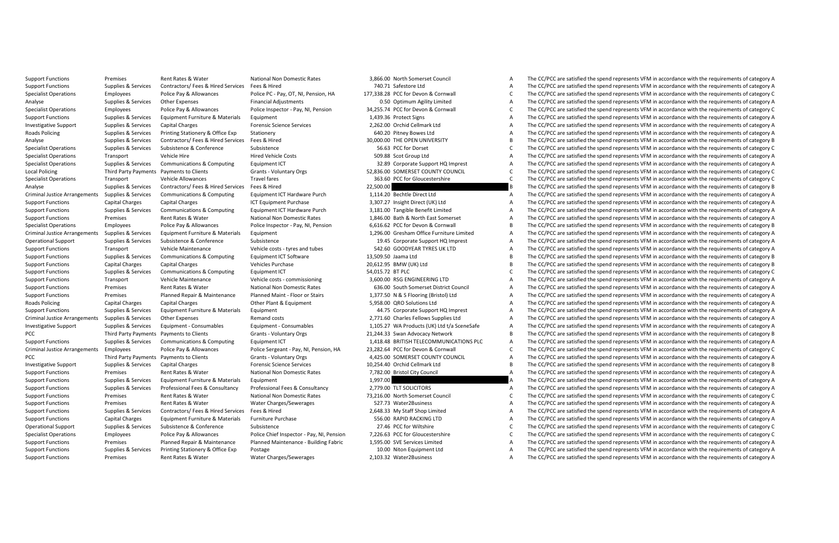Support Functions Premises Rent Rates & Water National Non Domestic Rates 3,866.00 North Somerset Council A The CC/PCC are satisfied the spend represents VFM in accordance with the requirements of category A Support Functions Supplies & Support Functions Supplies Support Contractors/ Fees and The CONTRACTORS/ The CONTRACTORS/ The CONTRACTORS/ The CONTRACTORS/ THE CONTRACTORS/ THE CONTRACTORS/ THE CONTRACTORS/ A THE CONTRACTORS The CC/PCC are satisfied the spend represents VEM in accordance with the requirements of category C Analyse Supplies & Services Other Expenses Financial Adjustments 6.50 Optimum Agility Limited A The CC/PCC are satisfied the spend represents VFM in accordance with the requirements of category A Specialist Operations Employees Police Pay & Allowances Police Inspector - Pay, NI, Pension 34,255.74 PCC for Devon & Cornwall C The CC/PCC are satisfied the spend represents VFM in accordance with the requirements of cate Support Functions Supplies & Services Equipment Furniture & Materials Equipment 1,439.36 Protect Signs A The CC/PCC are satisfied the spend represents VFM in accordance with the requirements of category A Investigative Support Support Support Support Support Charges Capital Charges Capital Charges 2,262.00 Orchid Cellmark Ltd A The CC/PCC are satisfied the spend represents VFM in accordance with the requirements of category For CC/PCC are satisfied the spend represents VFM in accordance with the requirements of category A The CC/PCC are satisfied the spend represents VFM in accordance with the requirements of category B The CC/PCC are satisfi Analyse Supplies Services Contractors/ Fees Services Fired Services The Services The CC/PCC are satisfied the Services Supplies Supplies Supplies Supplies Contractors/ Contractors/ The COPEN In Accordance with the requirem The CC/PCC are satisfied the spend represents VFM in accordance with the requirements of category C Specialist Operations Transport Vehicle Hired Vehicle Costs Specialist Operations Transport Costs 509.88 Scot Group Ltd A The CC/PCC are satisfied the spend represents VFM in accordance with the requirements of category A The CC/PCC are satisfied the spend represents VFM in accordance with the requirements of category A Local Policing Third Payments Payments Olients - Clients Voluntary Orgs 52,856.00 SOMERSET COUNTY COUNTY COUNTY COUNCIL C The CC/PCC are satisfied the spend represents VFM in accordance with the requirements of category C C The CC/PCC are satisfied the spend represents VFM in accordance with the requirements of category C Analyse Supplies Supplies Supplies Supplies Supplies Supplies Supplies Services Contractors/ Fees & Hired Services Fees & Hired Services Fees and The CC/PCC are satisfied the spend represents VFM in accordance with the req Communications & Communities Communities Foulinment ICT Hardware Purch 1.114.20 Bechtle Direct Itd A The CC/PCC are satisfied the spend represents VEM in accordance with the requirements of category A Support Functions Capital Charges Capital Charges Capital Charges Capital Charges 20127 Insight Direct UK) Ltd A The CC/PCC are satisfied the spend represents VFM in accordance with the requirements of category A The COFC The CC/PCC are satisfied the spend represents VEM in accordance with the requirements of category A Support Functions Premises Rent Rates Rent Rates Rent Rates Premises Premises Rent A The CC/PCC are satisfied the Support The CO/PCC are satisfied the spend represents VFM in accordance with the requirements of category A The CC/PCC are satisfied the spend represents VEM in accordance with the requirements of category B Criminal users are the main of the comparement of the compart of the comparation of the criminal method of the criminal and the criminal of the criminal of the criminal of the criminal of the criminal of the criminal of th Operate Support HQ Imprest **A** The CC/PCC are satisfied the spend represents VFM in accordance with the requirements of category A The CC/PCC are satisfied the spend represents VFM in accordance with the requirements of c Support Functions Transport Vehicle Maintenance Vehicle Costs-tyres and tubes - tyres and tubes - tyres and tubes - tyres and the CC/PCC are satisfied the spend represents VFM in accordance with the requirements of categor The CC/PCC are satisfied the spend represents VFM in accordance with the requirements of category B Support Functions Capital Charges Capital Charges Capital Charges Capital Charges 20,52.95 BMW (UK) Ltd B The CC/PCC are satisfied the spend represents VFM in accordance with the requirements of category Capital Charges Ca The CC/PCC are satisfied the spend represents VEM in accordance with the requirements of category C Support Functions Transport Vehicle Maintenance Vehicle costs - commissioning 3,600.00 RSG ENGINEERING LTD A The CC/PCC are satisfied the spend represents VFM in accordance with the requirements of category A Support Functions Premises Rent Rates & Water National Non Domestic Rates 636.00 South Somerset District Council A The CC/PCC are satisfied the spend represents VFM in accordance with the requirements of category A Support Functions Premises Planned Repair & Maintenance Planned Maint - Floor or Stairs 1.377.50 N & S Floorine (Bristol) Ltd A The CC/PCC are satisfied the spend represents VFM in accordance with the requirements of categ Roads Policing Capital Charges Capital Charges Capital Charges Capital Charges Other Plant & Equipment 5,958.00 QRO Solutions Ltd A The CC/PCC are satisfied the spend represents VFM in accordance with the requirements of c Support Functions Supplies & Services Equipment Furniture & Materials Equipment 44.75 Corporate Support HQ Imprest A The CC/PCC are satisfied the spend represents VFM in accordance with the requirements of category A Criminal Justice Arrangements Supplies Arrangements Criminal Dust Consect Consects 2,771.60 Charles Fellows Supplies Ltd A The CC/PCC are satisfied the spend represents VFM in accordance with the requirements of category A The CC/PCC are satisfied the spend represents VFM in accordance with the requirements of category A PCCCLIENT PAYMENT PAYMENT PAYMENT PAYMENT PARTY PAYMENT ARREST A THE CONCLUBATE A THE CONCLUBATE ARREST A THE CONCLUBATE ARREST A THE CONCLUSION ARREST AND A THE CONCLUSION AND A THE CONCLUSION ASSOCIATE A THE CONCLUSION A Support Functions Supplies & Services Communications & Computing Equipment ICT 1,418.48 BRITISH TELECOMMUNICATIONS PLC A The CC/PCC are satisfied the spend represents VFM in accordance with the requirements of category A Criminal Justice Arrangements Employees Police Payablowances Police Section Payablow (22,282.64 PCC POLICE POLICE POLICE PRECOPT ARRANGED THE CONCRETION CONTINUES AND THE CONCRETION OF THE CONCRETION OF THE CONCRETION OF T The CC/PCC are satisfied the spend represents VFM in accordance with the requirements of category A Investigative Support Supplies & Services Capital Charges Forensic Services Capital Charges The CONT Charges The CONT Cellmark Ltd B The CONT are satisfied the spend represents VFM in accordance with the requirements of ca The CC/PCC are satisfied the spend represents VFM in accordance with the requirements of category A Support Functions Supplies Services Equipment Functions Supplies Supplies Equipment Turniture & Materials Equipment Functions and the CC/PCC are satisfied the spend represents VFM in accordance with the requirements of cat A The CC/PCC are satisfied the spend represents VEM in accordance with the requirements of category A Support Functions Premises Rent Rates Rates Rent Rates Rent Rates Premises Rent Rates Rent Rates 73,216.00 North Somerset Council Council Council Council Council Council Council Council Council Council Council Council Coun The CC/PCC are satisfied the spend represents VFM in accordance with the requirements of category A Support Functions Supplies & Services Contractors/ Fees & Hired Services Fees & Hired 2,648.33 My Staff Shop Limited A The CC/PCC are satisfied the spend represents VFM in accordance with the requirements of category A The CC/PCC are satisfied the spend represents VFM in accordance with the requirements of category A Operational Support Subsistence Support Subsistence Subsistence Subsistence Subsistence Subsistence 27.46 PCC for Wiltshire C The CC/PCC are satisfied the spend represents VFM in accordance with the requirements of categor The CC/PCC are satisfied the spend represents VFM in accordance with the requirements of category C Support Functions Premises Planned Repair & Maintenance Planned Maintenance Buildine Fabric 1.595.00 SVE Services Limited A The CC/PCC are satisfied the spend represents VFM in accordance with the requirements of category Support Functions Supplies & Services Printing Stationery & Office Exp Postage Printing Stationery & Office Exp Postage Printing Stationery & Office Exp Postage 10.00 Niton Equipment Ltd A The CC/PCC are satisfied the spen Support Functions Premises Rent Rates & Water Water Charges/Sewerages 2,103.32 Water2Business A The CC/PCC are satisfied the spend represents VFM in accordance with the requirements of category A